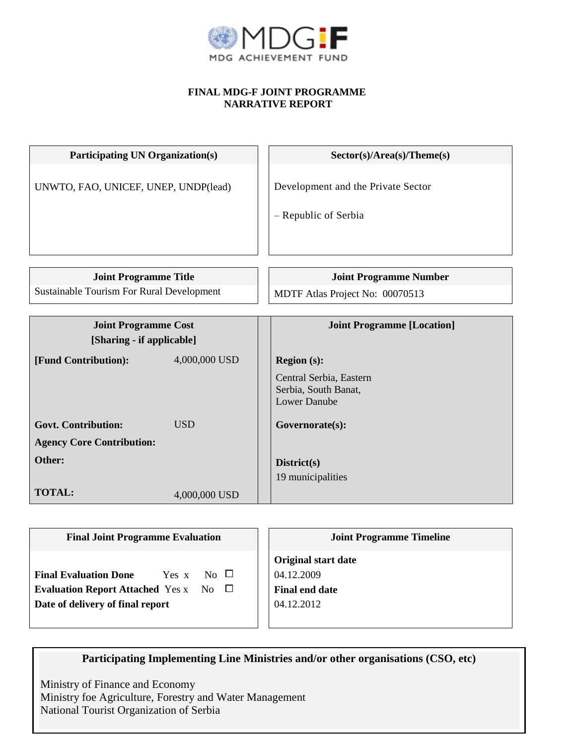

## **FINAL MDG-F JOINT PROGRAMME NARRATIVE REPORT**

| <b>Participating UN Organization(s)</b>                  |               | Sector(s)/Area(s)/Theme(s)                                 |  |
|----------------------------------------------------------|---------------|------------------------------------------------------------|--|
| UNWTO, FAO, UNICEF, UNEP, UNDP(lead)                     |               | Development and the Private Sector<br>- Republic of Serbia |  |
|                                                          |               |                                                            |  |
| <b>Joint Programme Title</b>                             |               | <b>Joint Programme Number</b>                              |  |
| <b>Sustainable Tourism For Rural Development</b>         |               | MDTF Atlas Project No: 00070513                            |  |
|                                                          |               |                                                            |  |
| <b>Joint Programme Cost</b><br>[Sharing - if applicable] |               | <b>Joint Programme [Location]</b>                          |  |
| [Fund Contribution]:                                     | 4,000,000 USD | <b>Region (s):</b>                                         |  |
|                                                          |               | Central Serbia, Eastern                                    |  |
|                                                          |               | Serbia, South Banat,                                       |  |
|                                                          |               | <b>Lower Danube</b>                                        |  |
| <b>Govt. Contribution:</b>                               | <b>USD</b>    | Governorate(s):                                            |  |
| <b>Agency Core Contribution:</b>                         |               |                                                            |  |
| Other:                                                   |               | District(s)                                                |  |
|                                                          |               | 19 municipalities                                          |  |
| <b>TOTAL:</b>                                            | 4,000,000 USD |                                                            |  |

| <b>Final Joint Programme Evaluation</b>                                                                                                    | <b>Joint Programme Timeline</b>                                                 |  |
|--------------------------------------------------------------------------------------------------------------------------------------------|---------------------------------------------------------------------------------|--|
| $N_O$ $\Box$<br><b>Final Evaluation Done</b><br>Yes x<br>Evaluation Report Attached Yes x No $\square$<br>Date of delivery of final report | <b>Original start date</b><br>04.12.2009<br><b>Final end date</b><br>04.12.2012 |  |

**Participating Implementing Line Ministries and/or other organisations (CSO, etc)**

Ministry of Finance and Economy Ministry foe Agriculture, Forestry and Water Management National Tourist Organization of Serbia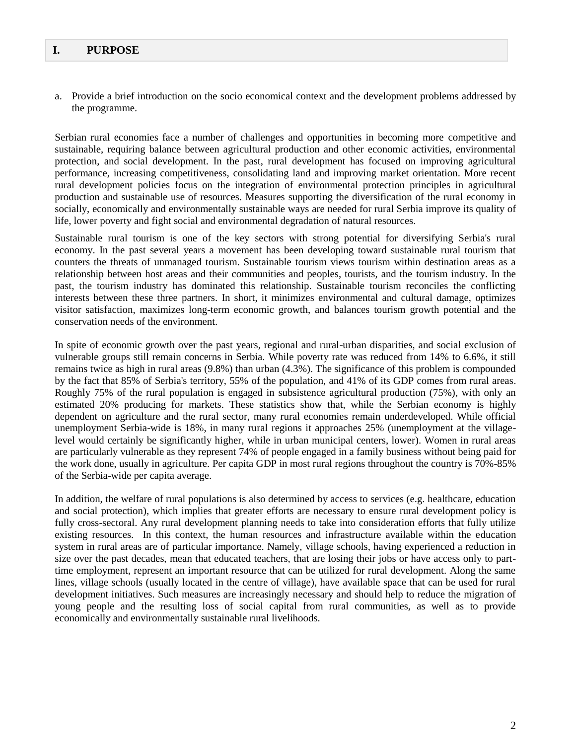## **I. PURPOSE**

a. Provide a brief introduction on the socio economical context and the development problems addressed by the programme.

Serbian rural economies face a number of challenges and opportunities in becoming more competitive and sustainable, requiring balance between agricultural production and other economic activities, environmental protection, and social development. In the past, rural development has focused on improving agricultural performance, increasing competitiveness, consolidating land and improving market orientation. More recent rural development policies focus on the integration of environmental protection principles in agricultural production and sustainable use of resources. Measures supporting the diversification of the rural economy in socially, economically and environmentally sustainable ways are needed for rural Serbia improve its quality of life, lower poverty and fight social and environmental degradation of natural resources.

Sustainable rural tourism is one of the key sectors with strong potential for diversifying Serbia's rural economy. In the past several years a movement has been developing toward sustainable rural tourism that counters the threats of unmanaged tourism. Sustainable tourism views tourism within destination areas as a relationship between host areas and their communities and peoples, tourists, and the tourism industry. In the past, the tourism industry has dominated this relationship. Sustainable tourism reconciles the conflicting interests between these three partners. In short, it minimizes environmental and cultural damage, optimizes visitor satisfaction, maximizes long-term economic growth, and balances tourism growth potential and the conservation needs of the environment.

In spite of economic growth over the past years, regional and rural-urban disparities, and social exclusion of vulnerable groups still remain concerns in Serbia. While poverty rate was reduced from 14% to 6.6%, it still remains twice as high in rural areas (9.8%) than urban (4.3%). The significance of this problem is compounded by the fact that 85% of Serbia's territory, 55% of the population, and 41% of its GDP comes from rural areas. Roughly 75% of the rural population is engaged in subsistence agricultural production (75%), with only an estimated 20% producing for markets. These statistics show that, while the Serbian economy is highly dependent on agriculture and the rural sector, many rural economies remain underdeveloped. While official unemployment Serbia-wide is 18%, in many rural regions it approaches 25% (unemployment at the villagelevel would certainly be significantly higher, while in urban municipal centers, lower). Women in rural areas are particularly vulnerable as they represent 74% of people engaged in a family business without being paid for the work done, usually in agriculture. Per capita GDP in most rural regions throughout the country is 70%-85% of the Serbia-wide per capita average.

In addition, the welfare of rural populations is also determined by access to services (e.g. healthcare, education and social protection), which implies that greater efforts are necessary to ensure rural development policy is fully cross-sectoral. Any rural development planning needs to take into consideration efforts that fully utilize existing resources. In this context, the human resources and infrastructure available within the education system in rural areas are of particular importance. Namely, village schools, having experienced a reduction in size over the past decades, mean that educated teachers, that are losing their jobs or have access only to parttime employment, represent an important resource that can be utilized for rural development. Along the same lines, village schools (usually located in the centre of village), have available space that can be used for rural development initiatives. Such measures are increasingly necessary and should help to reduce the migration of young people and the resulting loss of social capital from rural communities, as well as to provide economically and environmentally sustainable rural livelihoods.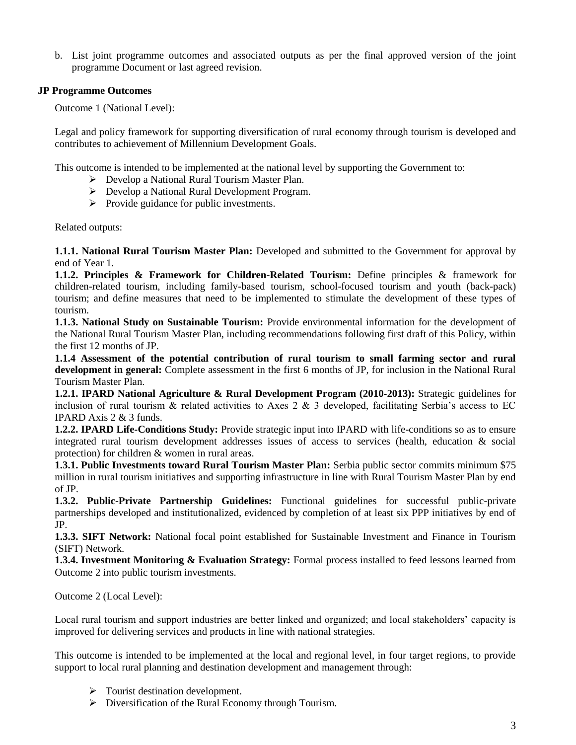b. List joint programme outcomes and associated outputs as per the final approved version of the joint programme Document or last agreed revision.

## **JP Programme Outcomes**

Outcome 1 (National Level):

Legal and policy framework for supporting diversification of rural economy through tourism is developed and contributes to achievement of Millennium Development Goals.

This outcome is intended to be implemented at the national level by supporting the Government to:

- Develop a National Rural Tourism Master Plan.
- Develop a National Rural Development Program.
- $\triangleright$  Provide guidance for public investments.

Related outputs:

**1.1.1. National Rural Tourism Master Plan:** Developed and submitted to the Government for approval by end of Year 1.

**1.1.2. Principles & Framework for Children-Related Tourism:** Define principles & framework for children-related tourism, including family-based tourism, school-focused tourism and youth (back-pack) tourism; and define measures that need to be implemented to stimulate the development of these types of tourism.

**1.1.3. National Study on Sustainable Tourism:** Provide environmental information for the development of the National Rural Tourism Master Plan, including recommendations following first draft of this Policy, within the first 12 months of JP.

**1.1.4 Assessment of the potential contribution of rural tourism to small farming sector and rural development in general:** Complete assessment in the first 6 months of JP, for inclusion in the National Rural Tourism Master Plan.

**1.2.1. IPARD National Agriculture & Rural Development Program (2010-2013):** Strategic guidelines for inclusion of rural tourism  $\&$  related activities to Axes 2  $\&$  3 developed, facilitating Serbia's access to EC IPARD Axis 2 & 3 funds.

**1.2.2. IPARD Life-Conditions Study:** Provide strategic input into IPARD with life-conditions so as to ensure integrated rural tourism development addresses issues of access to services (health, education & social protection) for children & women in rural areas.

**1.3.1. Public Investments toward Rural Tourism Master Plan:** Serbia public sector commits minimum \$75 million in rural tourism initiatives and supporting infrastructure in line with Rural Tourism Master Plan by end of JP.

**1.3.2. Public-Private Partnership Guidelines:** Functional guidelines for successful public-private partnerships developed and institutionalized, evidenced by completion of at least six PPP initiatives by end of JP.

**1.3.3. SIFT Network:** National focal point established for Sustainable Investment and Finance in Tourism (SIFT) Network.

**1.3.4. Investment Monitoring & Evaluation Strategy:** Formal process installed to feed lessons learned from Outcome 2 into public tourism investments.

Outcome 2 (Local Level):

Local rural tourism and support industries are better linked and organized; and local stakeholders' capacity is improved for delivering services and products in line with national strategies.

This outcome is intended to be implemented at the local and regional level, in four target regions, to provide support to local rural planning and destination development and management through:

- $\triangleright$  Tourist destination development.
- Diversification of the Rural Economy through Tourism.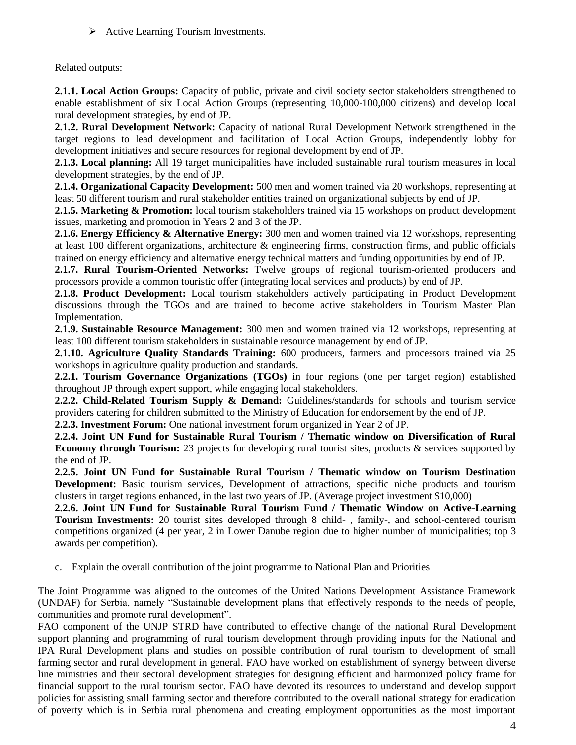$\triangleright$  Active Learning Tourism Investments.

Related outputs:

**2.1.1. Local Action Groups:** Capacity of public, private and civil society sector stakeholders strengthened to enable establishment of six Local Action Groups (representing 10,000-100,000 citizens) and develop local rural development strategies, by end of JP.

**2.1.2. Rural Development Network:** Capacity of national Rural Development Network strengthened in the target regions to lead development and facilitation of Local Action Groups, independently lobby for development initiatives and secure resources for regional development by end of JP.

**2.1.3. Local planning:** All 19 target municipalities have included sustainable rural tourism measures in local development strategies, by the end of JP.

**2.1.4. Organizational Capacity Development:** 500 men and women trained via 20 workshops, representing at least 50 different tourism and rural stakeholder entities trained on organizational subjects by end of JP.

**2.1.5. Marketing & Promotion:** local tourism stakeholders trained via 15 workshops on product development issues, marketing and promotion in Years 2 and 3 of the JP.

**2.1.6. Energy Efficiency & Alternative Energy:** 300 men and women trained via 12 workshops, representing at least 100 different organizations, architecture & engineering firms, construction firms, and public officials trained on energy efficiency and alternative energy technical matters and funding opportunities by end of JP.

**2.1.7. Rural Tourism-Oriented Networks:** Twelve groups of regional tourism-oriented producers and processors provide a common touristic offer (integrating local services and products) by end of JP.

**2.1.8. Product Development:** Local tourism stakeholders actively participating in Product Development discussions through the TGOs and are trained to become active stakeholders in Tourism Master Plan Implementation.

**2.1.9. Sustainable Resource Management:** 300 men and women trained via 12 workshops, representing at least 100 different tourism stakeholders in sustainable resource management by end of JP.

**2.1.10. Agriculture Quality Standards Training:** 600 producers, farmers and processors trained via 25 workshops in agriculture quality production and standards.

**2.2.1. Tourism Governance Organizations (TGOs)** in four regions (one per target region) established throughout JP through expert support, while engaging local stakeholders.

**2.2.2. Child-Related Tourism Supply & Demand:** Guidelines/standards for schools and tourism service providers catering for children submitted to the Ministry of Education for endorsement by the end of JP.

**2.2.3. Investment Forum:** One national investment forum organized in Year 2 of JP.

**2.2.4. Joint UN Fund for Sustainable Rural Tourism / Thematic window on Diversification of Rural Economy through Tourism:** 23 projects for developing rural tourist sites, products & services supported by the end of JP.

**2.2.5. Joint UN Fund for Sustainable Rural Tourism / Thematic window on Tourism Destination Development:** Basic tourism services, Development of attractions, specific niche products and tourism clusters in target regions enhanced, in the last two years of JP. (Average project investment \$10,000)

**2.2.6. Joint UN Fund for Sustainable Rural Tourism Fund / Thematic Window on Active-Learning Tourism Investments:** 20 tourist sites developed through 8 child- , family-, and school-centered tourism competitions organized (4 per year, 2 in Lower Danube region due to higher number of municipalities; top 3 awards per competition).

c. Explain the overall contribution of the joint programme to National Plan and Priorities

The Joint Programme was aligned to the outcomes of the United Nations Development Assistance Framework (UNDAF) for Serbia, namely "Sustainable development plans that effectively responds to the needs of people, communities and promote rural development".

FAO component of the UNJP STRD have contributed to effective change of the national Rural Development support planning and programming of rural tourism development through providing inputs for the National and IPA Rural Development plans and studies on possible contribution of rural tourism to development of small farming sector and rural development in general. FAO have worked on establishment of synergy between diverse line ministries and their sectoral development strategies for designing efficient and harmonized policy frame for financial support to the rural tourism sector. FAO have devoted its resources to understand and develop support policies for assisting small farming sector and therefore contributed to the overall national strategy for eradication of poverty which is in Serbia rural phenomena and creating employment opportunities as the most important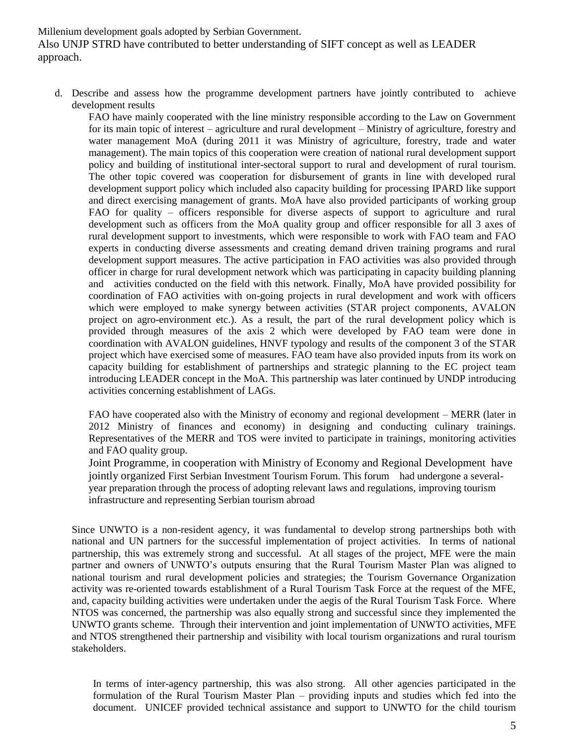Millenium development goals adopted by Serbian Government. Also UNJP STRD have contributed to better understanding of SIFT concept as well as LEADER approach.

d. Describe and assess how the programme development partners have jointly contributed to achieve development results

FAO have mainly cooperated with the line ministry responsible according to the Law on Government for its main topic of interest – agriculture and rural development – Ministry of agriculture, forestry and water management MoA (during 2011 it was Ministry of agriculture, forestry, trade and water management). The main topics of this cooperation were creation of national rural development support policy and building of institutional inter-sectoral support to rural and development of rural tourism. The other topic covered was cooperation for disbursement of grants in line with developed rural development support policy which included also capacity building for processing IPARD like support and direct exercising management of grants. MoA have also provided participants of working group FAO for quality – officers responsible for diverse aspects of support to agriculture and rural development such as officers from the MoA quality group and officer responsible for all 3 axes of rural development support to investments, which were responsible to work with FAO team and FAO experts in conducting diverse assessments and creating demand driven training programs and rural development support measures. The active participation in FAO activities was also provided through officer in charge for rural development network which was participating in capacity building planning and activities conducted on the field with this network. Finally, MoA have provided possibility for coordination of FAO activities with on-going projects in rural development and work with officers which were employed to make synergy between activities (STAR project components, AVALON project on agro-environment etc.). As a result, the part of the rural development policy which is provided through measures of the axis 2 which were developed by FAO team were done in coordination with AVALON guidelines, HNVF typology and results of the component 3 of the STAR project which have exercised some of measures. FAO team have also provided inputs from its work on capacity building for establishment of partnerships and strategic planning to the EC project team introducing LEADER concept in the MoA. This partnership was later continued by UNDP introducing activities concerning establishment of LAGs.

FAO have cooperated also with the Ministry of economy and regional development – MERR (later in 2012 Ministry of finances and economy) in designing and conducting culinary trainings. Representatives of the MERR and TOS were invited to participate in trainings, monitoring activities and FAO quality group.

Joint Programme, in cooperation with Ministry of Economy and Regional Development have jointly organized First Serbian Investment Tourism Forum. This forum had undergone a severalyear preparation through the process of adopting relevant laws and regulations, improving tourism infrastructure and representing Serbian tourism abroad

Since UNWTO is a non-resident agency, it was fundamental to develop strong partnerships both with national and UN partners for the successful implementation of project activities. In terms of national partnership, this was extremely strong and successful. At all stages of the project, MFE were the main partner and owners of UNWTO's outputs ensuring that the Rural Tourism Master Plan was aligned to national tourism and rural development policies and strategies; the Tourism Governance Organization activity was re-oriented towards establishment of a Rural Tourism Task Force at the request of the MFE, and, capacity building activities were undertaken under the aegis of the Rural Tourism Task Force. Where NTOS was concerned, the partnership was also equally strong and successful since they implemented the UNWTO grants scheme. Through their intervention and joint implementation of UNWTO activities, MFE and NTOS strengthened their partnership and visibility with local tourism organizations and rural tourism stakeholders.

In terms of inter-agency partnership, this was also strong. All other agencies participated in the formulation of the Rural Tourism Master Plan – providing inputs and studies which fed into the document. UNICEF provided technical assistance and support to UNWTO for the child tourism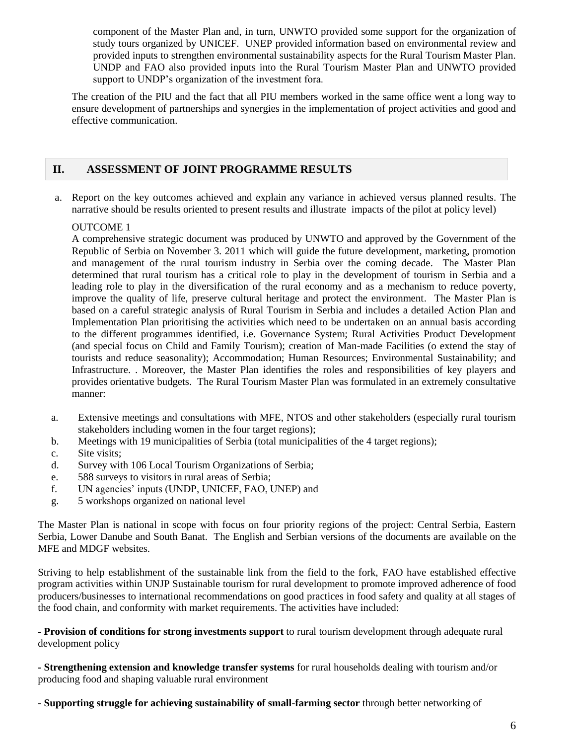component of the Master Plan and, in turn, UNWTO provided some support for the organization of study tours organized by UNICEF. UNEP provided information based on environmental review and provided inputs to strengthen environmental sustainability aspects for the Rural Tourism Master Plan. UNDP and FAO also provided inputs into the Rural Tourism Master Plan and UNWTO provided support to UNDP's organization of the investment fora.

The creation of the PIU and the fact that all PIU members worked in the same office went a long way to ensure development of partnerships and synergies in the implementation of project activities and good and effective communication.

# **II. ASSESSMENT OF JOINT PROGRAMME RESULTS**

a. Report on the key outcomes achieved and explain any variance in achieved versus planned results. The narrative should be results oriented to present results and illustrate impacts of the pilot at policy level)

## OUTCOME 1

A comprehensive strategic document was produced by UNWTO and approved by the Government of the Republic of Serbia on November 3. 2011 which will guide the future development, marketing, promotion and management of the rural tourism industry in Serbia over the coming decade. The Master Plan determined that rural tourism has a critical role to play in the development of tourism in Serbia and a leading role to play in the diversification of the rural economy and as a mechanism to reduce poverty, improve the quality of life, preserve cultural heritage and protect the environment. The Master Plan is based on a careful strategic analysis of Rural Tourism in Serbia and includes a detailed Action Plan and Implementation Plan prioritising the activities which need to be undertaken on an annual basis according to the different programmes identified, i.e. Governance System; Rural Activities Product Development (and special focus on Child and Family Tourism); creation of Man-made Facilities (o extend the stay of tourists and reduce seasonality); Accommodation; Human Resources; Environmental Sustainability; and Infrastructure. . Moreover, the Master Plan identifies the roles and responsibilities of key players and provides orientative budgets. The Rural Tourism Master Plan was formulated in an extremely consultative manner:

- a. Extensive meetings and consultations with MFE, NTOS and other stakeholders (especially rural tourism stakeholders including women in the four target regions);
- b. Meetings with 19 municipalities of Serbia (total municipalities of the 4 target regions);
- c. Site visits;
- d. Survey with 106 Local Tourism Organizations of Serbia;
- e. 588 surveys to visitors in rural areas of Serbia;
- f. UN agencies' inputs (UNDP, UNICEF, FAO, UNEP) and
- g. 5 workshops organized on national level

The Master Plan is national in scope with focus on four priority regions of the project: Central Serbia, Eastern Serbia, Lower Danube and South Banat. The English and Serbian versions of the documents are available on the MFE and MDGF websites.

Striving to help establishment of the sustainable link from the field to the fork, FAO have established effective program activities within UNJP Sustainable tourism for rural development to promote improved adherence of food producers/businesses to international recommendations on good practices in food safety and quality at all stages of the food chain, and conformity with market requirements. The activities have included:

**- Provision of conditions for strong investments support** to rural tourism development through adequate rural development policy

**- Strengthening extension and knowledge transfer systems** for rural households dealing with tourism and/or producing food and shaping valuable rural environment

**- Supporting struggle for achieving sustainability of small-farming sector** through better networking of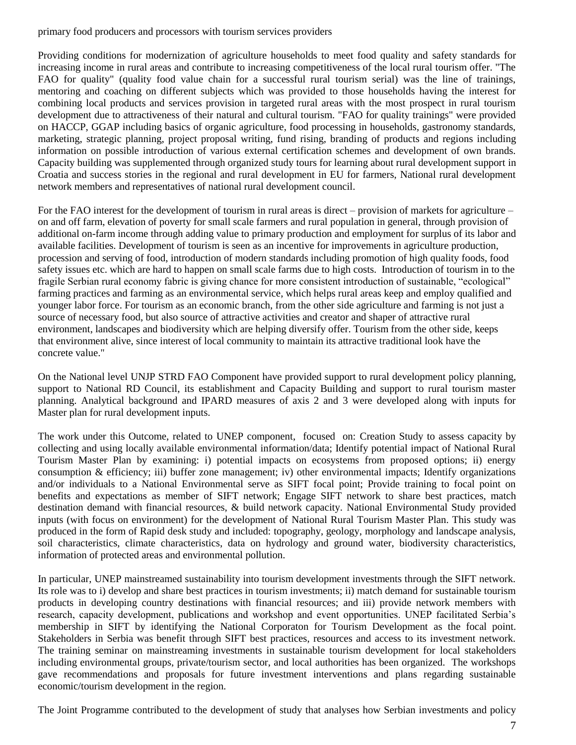primary food producers and processors with tourism services providers

Providing conditions for modernization of agriculture households to meet food quality and safety standards for increasing income in rural areas and contribute to increasing competitiveness of the local rural tourism offer. "The FAO for quality" (quality food value chain for a successful rural tourism serial) was the line of trainings, mentoring and coaching on different subjects which was provided to those households having the interest for combining local products and services provision in targeted rural areas with the most prospect in rural tourism development due to attractiveness of their natural and cultural tourism. "FAO for quality trainings" were provided on HACCP, GGAP including basics of organic agriculture, food processing in households, gastronomy standards, marketing, strategic planning, project proposal writing, fund rising, branding of products and regions including information on possible introduction of various external certification schemes and development of own brands. Capacity building was supplemented through organized study tours for learning about rural development support in Croatia and success stories in the regional and rural development in EU for farmers, National rural development network members and representatives of national rural development council.

For the FAO interest for the development of tourism in rural areas is direct – provision of markets for agriculture – on and off farm, elevation of poverty for small scale farmers and rural population in general, through provision of additional on-farm income through adding value to primary production and employment for surplus of its labor and available facilities. Development of tourism is seen as an incentive for improvements in agriculture production, procession and serving of food, introduction of modern standards including promotion of high quality foods, food safety issues etc. which are hard to happen on small scale farms due to high costs. Introduction of tourism in to the fragile Serbian rural economy fabric is giving chance for more consistent introduction of sustainable, "ecological" farming practices and farming as an environmental service, which helps rural areas keep and employ qualified and younger labor force. For tourism as an economic branch, from the other side agriculture and farming is not just a source of necessary food, but also source of attractive activities and creator and shaper of attractive rural environment, landscapes and biodiversity which are helping diversify offer. Tourism from the other side, keeps that environment alive, since interest of local community to maintain its attractive traditional look have the concrete value."

On the National level UNJP STRD FAO Component have provided support to rural development policy planning, support to National RD Council, its establishment and Capacity Building and support to rural tourism master planning. Analytical background and IPARD measures of axis 2 and 3 were developed along with inputs for Master plan for rural development inputs.

The work under this Outcome, related to UNEP component, focused on: Creation Study to assess capacity by collecting and using locally available environmental information/data; Identify potential impact of National Rural Tourism Master Plan by examining: i) potential impacts on ecosystems from proposed options; ii) energy consumption & efficiency; iii) buffer zone management; iv) other environmental impacts; Identify organizations and/or individuals to a National Environmental serve as SIFT focal point; Provide training to focal point on benefits and expectations as member of SIFT network; Engage SIFT network to share best practices, match destination demand with financial resources, & build network capacity. National Environmental Study provided inputs (with focus on environment) for the development of National Rural Tourism Master Plan. This study was produced in the form of Rapid desk study and included: topography, geology, morphology and landscape analysis, soil characteristics, climate characteristics, data on hydrology and ground water, biodiversity characteristics, information of protected areas and environmental pollution.

In particular, UNEP mainstreamed sustainability into tourism development investments through the SIFT network. Its role was to i) develop and share best practices in tourism investments; ii) match demand for sustainable tourism products in developing country destinations with financial resources; and iii) provide network members with research, capacity development, publications and workshop and event opportunities. UNEP facilitated Serbia's membership in SIFT by identifying the National Corporaton for Tourism Development as the focal point. Stakeholders in Serbia was benefit through SIFT best practices, resources and access to its investment network. The training seminar on mainstreaming investments in sustainable tourism development for local stakeholders including environmental groups, private/tourism sector, and local authorities has been organized. The workshops gave recommendations and proposals for future investment interventions and plans regarding sustainable economic/tourism development in the region.

The Joint Programme contributed to the development of study that analyses how Serbian investments and policy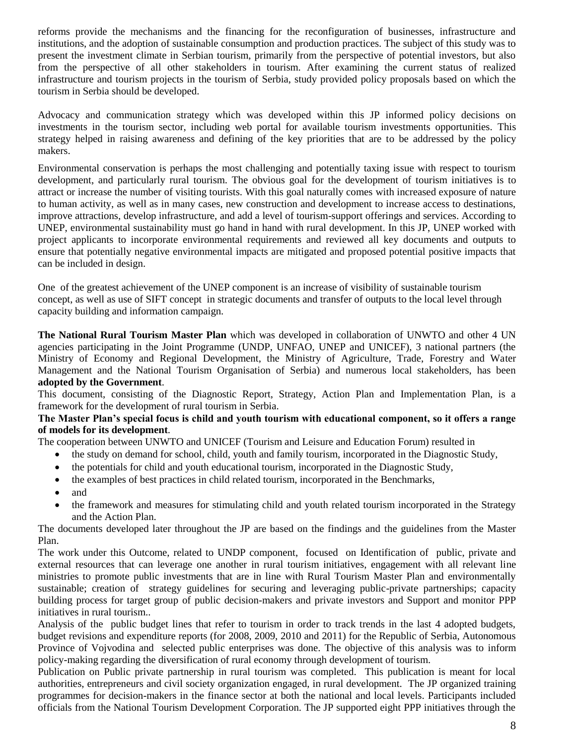reforms provide the mechanisms and the financing for the reconfiguration of businesses, infrastructure and institutions, and the adoption of sustainable consumption and production practices. The subject of this study was to present the investment climate in Serbian tourism, primarily from the perspective of potential investors, but also from the perspective of all other stakeholders in tourism. After examining the current status of realized infrastructure and tourism projects in the tourism of Serbia, study provided policy proposals based on which the tourism in Serbia should be developed.

Advocacy and communication strategy which was developed within this JP informed policy decisions on investments in the tourism sector, including web portal for available tourism investments opportunities. This strategy helped in raising awareness and defining of the key priorities that are to be addressed by the policy makers.

Environmental conservation is perhaps the most challenging and potentially taxing issue with respect to tourism development, and particularly rural tourism. The obvious goal for the development of tourism initiatives is to attract or increase the number of visiting tourists. With this goal naturally comes with increased exposure of nature to human activity, as well as in many cases, new construction and development to increase access to destinations, improve attractions, develop infrastructure, and add a level of tourism-support offerings and services. According to UNEP, environmental sustainability must go hand in hand with rural development. In this JP, UNEP worked with project applicants to incorporate environmental requirements and reviewed all key documents and outputs to ensure that potentially negative environmental impacts are mitigated and proposed potential positive impacts that can be included in design.

One of the greatest achievement of the UNEP component is an increase of visibility of sustainable tourism concept, as well as use of SIFT concept in strategic documents and transfer of outputs to the local level through capacity building and information campaign.

**The National Rural Tourism Master Plan** which was developed in collaboration of UNWTO and other 4 UN agencies participating in the Joint Programme (UNDP, UNFAO, UNEP and UNICEF), 3 national partners (the Ministry of Economy and Regional Development, the Ministry of Agriculture, Trade, Forestry and Water Management and the National Tourism Organisation of Serbia) and numerous local stakeholders, has been **adopted by the Government**.

This document, consisting of the Diagnostic Report, Strategy, Action Plan and Implementation Plan, is a framework for the development of rural tourism in Serbia.

#### **The Master Plan's special focus is child and youth tourism with educational component, so it offers a range of models for its development**.

The cooperation between UNWTO and UNICEF (Tourism and Leisure and Education Forum) resulted in

- the study on demand for school, child, youth and family tourism, incorporated in the Diagnostic Study,
- the potentials for child and youth educational tourism, incorporated in the Diagnostic Study,
- the examples of best practices in child related tourism, incorporated in the Benchmarks,
- and
- the framework and measures for stimulating child and youth related tourism incorporated in the Strategy and the Action Plan.

The documents developed later throughout the JP are based on the findings and the guidelines from the Master Plan.

The work under this Outcome, related to UNDP component, focused on Identification of public, private and external resources that can leverage one another in rural tourism initiatives, engagement with all relevant line ministries to promote public investments that are in line with Rural Tourism Master Plan and environmentally sustainable; creation of strategy guidelines for securing and leveraging public-private partnerships; capacity building process for target group of public decision-makers and private investors and Support and monitor PPP initiatives in rural tourism..

Analysis of the public budget lines that refer to tourism in order to track trends in the last 4 adopted budgets, budget revisions and expenditure reports (for 2008, 2009, 2010 and 2011) for the Republic of Serbia, Autonomous Province of Vojvodina and selected public enterprises was done. The objective of this analysis was to inform policy-making regarding the diversification of rural economy through development of tourism.

Publication on Public private partnership in rural tourism was completed. This publication is meant for local authorities, entrepreneurs and civil society organization engaged, in rural development. The JP organized training programmes for decision-makers in the finance sector at both the national and local levels. Participants included officials from the National Tourism Development Corporation. The JP supported eight PPP initiatives through the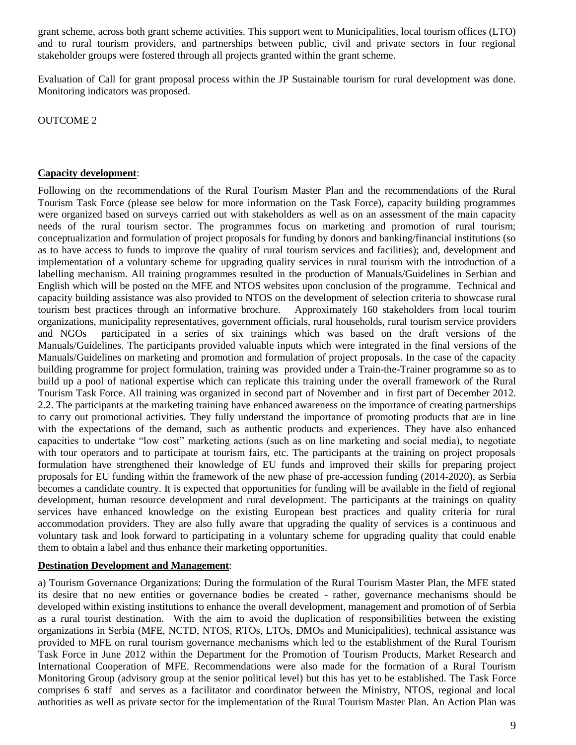grant scheme, across both grant scheme activities. This support went to Municipalities, local tourism offices (LTO) and to rural tourism providers, and partnerships between public, civil and private sectors in four regional stakeholder groups were fostered through all projects granted within the grant scheme.

Evaluation of Call for grant proposal process within the JP Sustainable tourism for rural development was done. Monitoring indicators was proposed.

OUTCOME 2

#### **Capacity development**:

Following on the recommendations of the Rural Tourism Master Plan and the recommendations of the Rural Tourism Task Force (please see below for more information on the Task Force), capacity building programmes were organized based on surveys carried out with stakeholders as well as on an assessment of the main capacity needs of the rural tourism sector. The programmes focus on marketing and promotion of rural tourism; conceptualization and formulation of project proposals for funding by donors and banking/financial institutions (so as to have access to funds to improve the quality of rural tourism services and facilities); and, development and implementation of a voluntary scheme for upgrading quality services in rural tourism with the introduction of a labelling mechanism. All training programmes resulted in the production of Manuals/Guidelines in Serbian and English which will be posted on the MFE and NTOS websites upon conclusion of the programme. Technical and capacity building assistance was also provided to NTOS on the development of selection criteria to showcase rural tourism best practices through an informative brochure. Approximately 160 stakeholders from local tourim organizations, municipality representatives, government officials, rural households, rural tourism service providers and NGOs participated in a series of six trainings which was based on the draft versions of the Manuals/Guidelines. The participants provided valuable inputs which were integrated in the final versions of the Manuals/Guidelines on marketing and promotion and formulation of project proposals. In the case of the capacity building programme for project formulation, training was provided under a Train-the-Trainer programme so as to build up a pool of national expertise which can replicate this training under the overall framework of the Rural Tourism Task Force. All training was organized in second part of November and in first part of December 2012. 2.2. The participants at the marketing training have enhanced awareness on the importance of creating partnerships to carry out promotional activities. They fully understand the importance of promoting products that are in line with the expectations of the demand, such as authentic products and experiences. They have also enhanced capacities to undertake "low cost" marketing actions (such as on line marketing and social media), to negotiate with tour operators and to participate at tourism fairs, etc. The participants at the training on project proposals formulation have strengthened their knowledge of EU funds and improved their skills for preparing project proposals for EU funding within the framework of the new phase of pre-accession funding (2014-2020), as Serbia becomes a candidate country. It is expected that opportunities for funding will be available in the field of regional development, human resource development and rural development. The participants at the trainings on quality services have enhanced knowledge on the existing European best practices and quality criteria for rural accommodation providers. They are also fully aware that upgrading the quality of services is a continuous and voluntary task and look forward to participating in a voluntary scheme for upgrading quality that could enable them to obtain a label and thus enhance their marketing opportunities.

## **Destination Development and Management**:

a) Tourism Governance Organizations: During the formulation of the Rural Tourism Master Plan, the MFE stated its desire that no new entities or governance bodies be created - rather, governance mechanisms should be developed within existing institutions to enhance the overall development, management and promotion of of Serbia as a rural tourist destination. With the aim to avoid the duplication of responsibilities between the existing organizations in Serbia (MFE, NCTD, NTOS, RTOs, LTOs, DMOs and Municipalities), technical assistance was provided to MFE on rural tourism governance mechanisms which led to the establishment of the Rural Tourism Task Force in June 2012 within the Department for the Promotion of Tourism Products, Market Research and International Cooperation of MFE. Recommendations were also made for the formation of a Rural Tourism Monitoring Group (advisory group at the senior political level) but this has yet to be established. The Task Force comprises 6 staff and serves as a facilitator and coordinator between the Ministry, NTOS, regional and local authorities as well as private sector for the implementation of the Rural Tourism Master Plan. An Action Plan was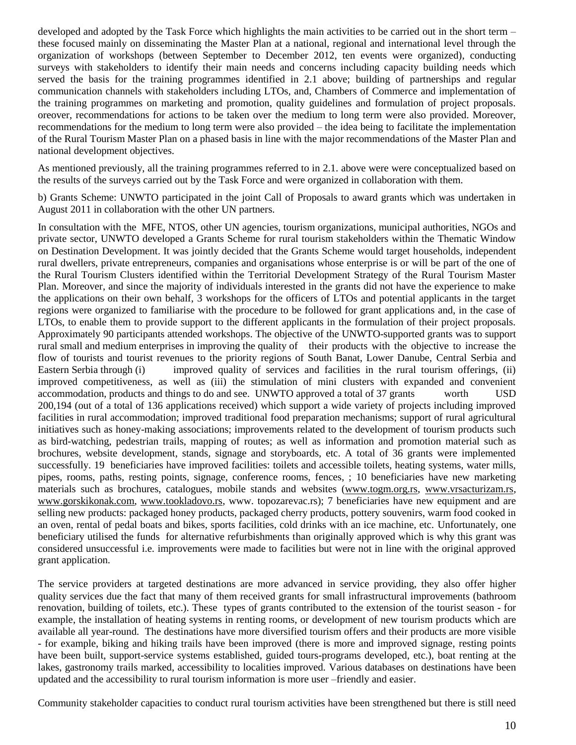developed and adopted by the Task Force which highlights the main activities to be carried out in the short term – these focused mainly on disseminating the Master Plan at a national, regional and international level through the organization of workshops (between September to December 2012, ten events were organized), conducting surveys with stakeholders to identify their main needs and concerns including capacity building needs which served the basis for the training programmes identified in 2.1 above; building of partnerships and regular communication channels with stakeholders including LTOs, and, Chambers of Commerce and implementation of the training programmes on marketing and promotion, quality guidelines and formulation of project proposals. oreover, recommendations for actions to be taken over the medium to long term were also provided. Moreover, recommendations for the medium to long term were also provided – the idea being to facilitate the implementation of the Rural Tourism Master Plan on a phased basis in line with the major recommendations of the Master Plan and national development objectives.

As mentioned previously, all the training programmes referred to in 2.1. above were were conceptualized based on the results of the surveys carried out by the Task Force and were organized in collaboration with them.

b) Grants Scheme: UNWTO participated in the joint Call of Proposals to award grants which was undertaken in August 2011 in collaboration with the other UN partners.

In consultation with the MFE, NTOS, other UN agencies, tourism organizations, municipal authorities, NGOs and private sector, UNWTO developed a Grants Scheme for rural tourism stakeholders within the Thematic Window on Destination Development. It was jointly decided that the Grants Scheme would target households, independent rural dwellers, private entrepreneurs, companies and organisations whose enterprise is or will be part of the one of the Rural Tourism Clusters identified within the Territorial Development Strategy of the Rural Tourism Master Plan. Moreover, and since the majority of individuals interested in the grants did not have the experience to make the applications on their own behalf, 3 workshops for the officers of LTOs and potential applicants in the target regions were organized to familiarise with the procedure to be followed for grant applications and, in the case of LTOs, to enable them to provide support to the different applicants in the formulation of their project proposals. Approximately 90 participants attended workshops. The objective of the UNWTO-supported grants was to support rural small and medium enterprises in improving the quality of their products with the objective to increase the flow of tourists and tourist revenues to the priority regions of South Banat, Lower Danube, Central Serbia and Eastern Serbia through (i) improved quality of services and facilities in the rural tourism offerings, (ii) improved competitiveness, as well as (iii) the stimulation of mini clusters with expanded and convenient accommodation, products and things to do and see. UNWTO approved a total of 37 grants worth USD 200,194 (out of a total of 136 applications received) which support a wide variety of projects including improved facilities in rural accommodation; improved traditional food preparation mechanisms; support of rural agricultural initiatives such as honey-making associations; improvements related to the development of tourism products such as bird-watching, pedestrian trails, mapping of routes; as well as information and promotion material such as brochures, website development, stands, signage and storyboards, etc. A total of 36 grants were implemented successfully. 19 beneficiaries have improved facilities: toilets and accessible toilets, heating systems, water mills, pipes, rooms, paths, resting points, signage, conference rooms, fences, ; 10 beneficiaries have new marketing materials such as brochures, catalogues, mobile stands and websites [\(www.togm.org.rs,](http://www.togm.org.rs/) [www.vrsacturizam.rs,](http://www.vrsacturizam.rs/) [www.gorskikonak.com,](http://www.gorskikonak.com/) [www.tookladovo.rs,](http://www.tookladovo.rs/) www. topozarevac.rs); 7 beneficiaries have new equipment and are selling new products: packaged honey products, packaged cherry products, pottery souvenirs, warm food cooked in an oven, rental of pedal boats and bikes, sports facilities, cold drinks with an ice machine, etc. Unfortunately, one beneficiary utilised the funds for alternative refurbishments than originally approved which is why this grant was considered unsuccessful i.e. improvements were made to facilities but were not in line with the original approved grant application.

The service providers at targeted destinations are more advanced in service providing, they also offer higher quality services due the fact that many of them received grants for small infrastructural improvements (bathroom renovation, building of toilets, etc.). These types of grants contributed to the extension of the tourist season - for example, the installation of heating systems in renting rooms, or development of new tourism products which are available all year-round. The destinations have more diversified tourism offers and their products are more visible - for example, biking and hiking trails have been improved (there is more and improved signage, resting points have been built, support-service systems established, guided tours-programs developed, etc.), boat renting at the lakes, gastronomy trails marked, accessibility to localities improved. Various databases on destinations have been updated and the accessibility to rural tourism information is more user –friendly and easier.

Community stakeholder capacities to conduct rural tourism activities have been strengthened but there is still need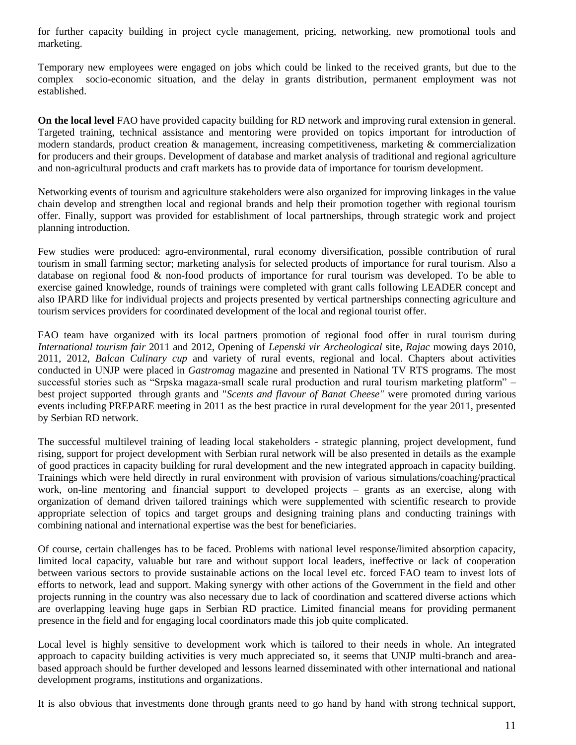for further capacity building in project cycle management, pricing, networking, new promotional tools and marketing.

Temporary new employees were engaged on jobs which could be linked to the received grants, but due to the complex socio-economic situation, and the delay in grants distribution, permanent employment was not established.

**On the local level** FAO have provided capacity building for RD network and improving rural extension in general. Targeted training, technical assistance and mentoring were provided on topics important for introduction of modern standards, product creation  $\&$  management, increasing competitiveness, marketing  $\&$  commercialization for producers and their groups. Development of database and market analysis of traditional and regional agriculture and non-agricultural products and craft markets has to provide data of importance for tourism development.

Networking events of tourism and agriculture stakeholders were also organized for improving linkages in the value chain develop and strengthen local and regional brands and help their promotion together with regional tourism offer. Finally, support was provided for establishment of local partnerships, through strategic work and project planning introduction.

Few studies were produced: agro-environmental, rural economy diversification, possible contribution of rural tourism in small farming sector; marketing analysis for selected products of importance for rural tourism. Also a database on regional food & non-food products of importance for rural tourism was developed. To be able to exercise gained knowledge, rounds of trainings were completed with grant calls following LEADER concept and also IPARD like for individual projects and projects presented by vertical partnerships connecting agriculture and tourism services providers for coordinated development of the local and regional tourist offer.

FAO team have organized with its local partners promotion of regional food offer in rural tourism during *International tourism fair* 2011 and 2012, Opening of *Lepenski vir Archeological* site, *Rajac* mowing days 2010, 2011, 2012, *Balcan Culinary cup* and variety of rural events, regional and local. Chapters about activities conducted in UNJP were placed in *Gastromag* magazine and presented in National TV RTS programs. The most successful stories such as "Srpska magaza-small scale rural production and rural tourism marketing platform" – best project supported through grants and "*Scents and flavour of Banat Cheese"* were promoted during various events including PREPARE meeting in 2011 as the best practice in rural development for the year 2011, presented by Serbian RD network.

The successful multilevel training of leading local stakeholders - strategic planning, project development, fund rising, support for project development with Serbian rural network will be also presented in details as the example of good practices in capacity building for rural development and the new integrated approach in capacity building. Trainings which were held directly in rural environment with provision of various simulations/coaching/practical work, on-line mentoring and financial support to developed projects – grants as an exercise, along with organization of demand driven tailored trainings which were supplemented with scientific research to provide appropriate selection of topics and target groups and designing training plans and conducting trainings with combining national and international expertise was the best for beneficiaries.

Of course, certain challenges has to be faced. Problems with national level response/limited absorption capacity, limited local capacity, valuable but rare and without support local leaders, ineffective or lack of cooperation between various sectors to provide sustainable actions on the local level etc. forced FAO team to invest lots of efforts to network, lead and support. Making synergy with other actions of the Government in the field and other projects running in the country was also necessary due to lack of coordination and scattered diverse actions which are overlapping leaving huge gaps in Serbian RD practice. Limited financial means for providing permanent presence in the field and for engaging local coordinators made this job quite complicated.

Local level is highly sensitive to development work which is tailored to their needs in whole. An integrated approach to capacity building activities is very much appreciated so, it seems that UNJP multi-branch and areabased approach should be further developed and lessons learned disseminated with other international and national development programs, institutions and organizations.

It is also obvious that investments done through grants need to go hand by hand with strong technical support,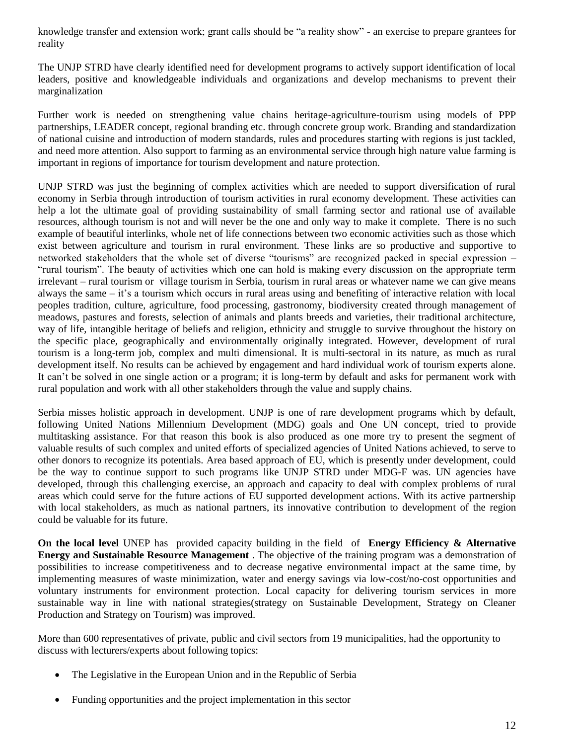knowledge transfer and extension work; grant calls should be "a reality show" - an exercise to prepare grantees for reality

The UNJP STRD have clearly identified need for development programs to actively support identification of local leaders, positive and knowledgeable individuals and organizations and develop mechanisms to prevent their marginalization

Further work is needed on strengthening value chains heritage-agriculture-tourism using models of PPP partnerships, LEADER concept, regional branding etc. through concrete group work. Branding and standardization of national cuisine and introduction of modern standards, rules and procedures starting with regions is just tackled, and need more attention. Also support to farming as an environmental service through high nature value farming is important in regions of importance for tourism development and nature protection.

UNJP STRD was just the beginning of complex activities which are needed to support diversification of rural economy in Serbia through introduction of tourism activities in rural economy development. These activities can help a lot the ultimate goal of providing sustainability of small farming sector and rational use of available resources, although tourism is not and will never be the one and only way to make it complete. There is no such example of beautiful interlinks, whole net of life connections between two economic activities such as those which exist between agriculture and tourism in rural environment. These links are so productive and supportive to networked stakeholders that the whole set of diverse "tourisms" are recognized packed in special expression – "rural tourism". The beauty of activities which one can hold is making every discussion on the appropriate term irrelevant – rural tourism or village tourism in Serbia, tourism in rural areas or whatever name we can give means always the same – it's a tourism which occurs in rural areas using and benefiting of interactive relation with local peoples tradition, culture, agriculture, food processing, gastronomy, biodiversity created through management of meadows, pastures and forests, selection of animals and plants breeds and varieties, their traditional architecture, way of life, intangible heritage of beliefs and religion, ethnicity and struggle to survive throughout the history on the specific place, geographically and environmentally originally integrated. However, development of rural tourism is a long-term job, complex and multi dimensional. It is multi-sectoral in its nature, as much as rural development itself. No results can be achieved by engagement and hard individual work of tourism experts alone. It can't be solved in one single action or a program; it is long-term by default and asks for permanent work with rural population and work with all other stakeholders through the value and supply chains.

Serbia misses holistic approach in development. UNJP is one of rare development programs which by default, following United Nations Millennium Development (MDG) goals and One UN concept, tried to provide multitasking assistance. For that reason this book is also produced as one more try to present the segment of valuable results of such complex and united efforts of specialized agencies of United Nations achieved, to serve to other donors to recognize its potentials. Area based approach of EU, which is presently under development, could be the way to continue support to such programs like UNJP STRD under MDG-F was. UN agencies have developed, through this challenging exercise, an approach and capacity to deal with complex problems of rural areas which could serve for the future actions of EU supported development actions. With its active partnership with local stakeholders, as much as national partners, its innovative contribution to development of the region could be valuable for its future.

**On the local level** UNEP has provided capacity building in the field of **Energy Efficiency & Alternative Energy and Sustainable Resource Management** . The objective of the training program was a demonstration of possibilities to increase competitiveness and to decrease negative environmental impact at the same time, by implementing measures of waste minimization, water and energy savings via low-cost/no-cost opportunities and voluntary instruments for environment protection. Local capacity for delivering tourism services in more sustainable way in line with national strategies(strategy on Sustainable Development, Strategy on Cleaner Production and Strategy on Tourism) was improved.

More than 600 representatives of private, public and civil sectors from 19 municipalities, had the opportunity to discuss with lecturers/experts about following topics:

- The Legislative in the European Union and in the Republic of Serbia
- Funding opportunities and the project implementation in this sector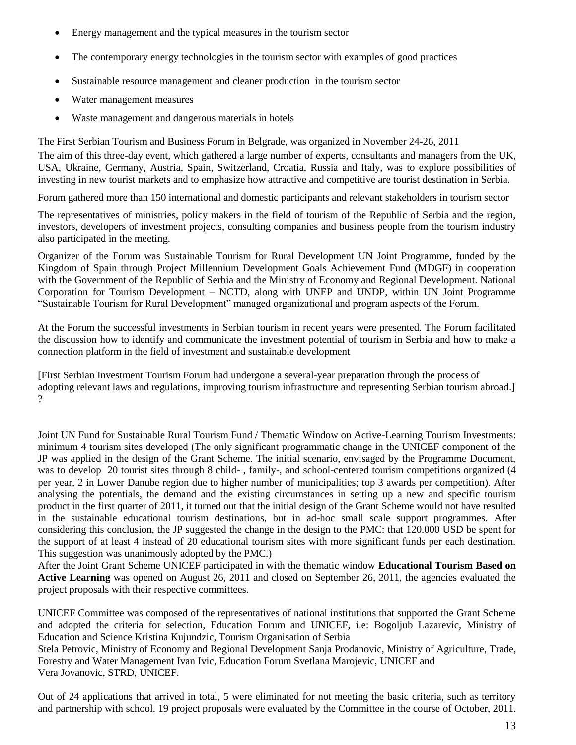- Energy management and the typical measures in the tourism sector
- The contemporary energy technologies in the tourism sector with examples of good practices
- Sustainable resource management and cleaner production in the tourism sector
- Water management measures
- Waste management and dangerous materials in hotels

The First Serbian Tourism and Business Forum in Belgrade, was organized in November 24-26, 2011

The aim of this three-day event, which gathered a large number of experts, consultants and managers from the UK, USA, Ukraine, Germany, Austria, Spain, Switzerland, Croatia, Russia and Italy, was to explore possibilities of investing in new tourist markets and to emphasize how attractive and competitive are tourist destination in Serbia.

Forum gathered more than 150 international and domestic participants and relevant stakeholders in tourism sector

The representatives of ministries, policy makers in the field of tourism of the Republic of Serbia and the region, investors, developers of investment projects, consulting companies and business people from the tourism industry also participated in the meeting.

Organizer of the Forum was Sustainable Tourism for Rural Development UN Joint Programme, funded by the Kingdom of Spain through Project Millennium Development Goals Achievement Fund (MDGF) in cooperation with the Government of the Republic of Serbia and the Ministry of Economy and Regional Development. National Corporation for Tourism Development – NCTD, along with UNEP and UNDP, within UN Joint Programme "Sustainable Tourism for Rural Development" managed organizational and program aspects of the Forum.

At the Forum the successful investments in Serbian tourism in recent years were presented. The Forum facilitated the discussion how to identify and communicate the investment potential of tourism in Serbia and how to make a connection platform in the field of investment and sustainable development

[First Serbian Investment Tourism Forum had undergone a several-year preparation through the process of adopting relevant laws and regulations, improving tourism infrastructure and representing Serbian tourism abroad.]  $\gamma$ 

Joint UN Fund for Sustainable Rural Tourism Fund / Thematic Window on Active-Learning Tourism Investments: minimum 4 tourism sites developed (The only significant programmatic change in the UNICEF component of the JP was applied in the design of the Grant Scheme. The initial scenario, envisaged by the Programme Document, was to develop 20 tourist sites through 8 child- , family-, and school-centered tourism competitions organized (4 per year, 2 in Lower Danube region due to higher number of municipalities; top 3 awards per competition). After analysing the potentials, the demand and the existing circumstances in setting up a new and specific tourism product in the first quarter of 2011, it turned out that the initial design of the Grant Scheme would not have resulted in the sustainable educational tourism destinations, but in ad-hoc small scale support programmes. After considering this conclusion, the JP suggested the change in the design to the PMC: that 120.000 USD be spent for the support of at least 4 instead of 20 educational tourism sites with more significant funds per each destination. This suggestion was unanimously adopted by the PMC.)

After the Joint Grant Scheme UNICEF participated in with the thematic window **Educational Tourism Based on**  Active Learning was opened on August 26, 2011 and closed on September 26, 2011, the agencies evaluated the project proposals with their respective committees.

UNICEF Committee was composed of the representatives of national institutions that supported the Grant Scheme and adopted the criteria for selection, Education Forum and UNICEF, i.e: Bogoljub Lazarevic, Ministry of Education and Science Kristina Kujundzic, Tourism Organisation of Serbia Stela Petrovic, Ministry of Economy and Regional Development Sanja Prodanovic, Ministry of Agriculture, Trade,

Forestry and Water Management Ivan Ivic, Education Forum Svetlana Marojevic, UNICEF and Vera Jovanovic, STRD, UNICEF.

Out of 24 applications that arrived in total, 5 were eliminated for not meeting the basic criteria, such as territory and partnership with school. 19 project proposals were evaluated by the Committee in the course of October, 2011.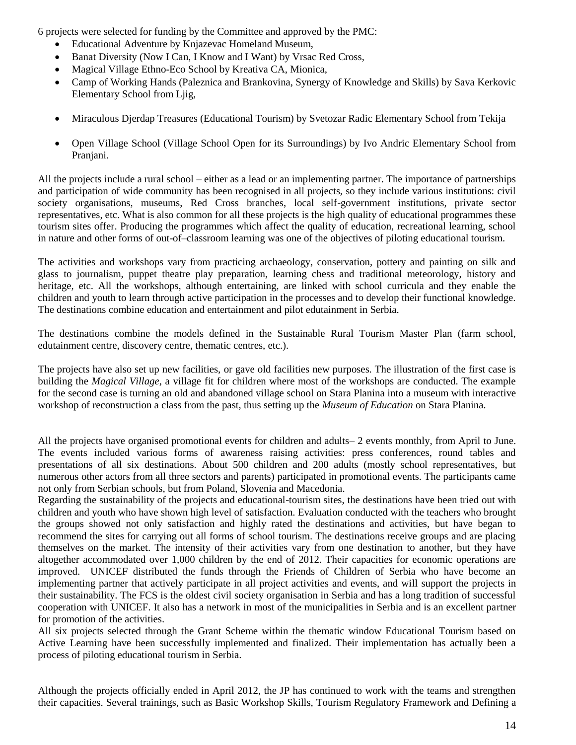6 projects were selected for funding by the Committee and approved by the PMC:

- Educational Adventure by Knjazevac Homeland Museum,
- Banat Diversity (Now I Can, I Know and I Want) by Vrsac Red Cross,
- Magical Village Ethno-Eco School by Kreativa CA, Mionica,
- Camp of Working Hands (Paleznica and Brankovina, Synergy of Knowledge and Skills) by Sava Kerkovic Elementary School from Ljig,
- Miraculous Djerdap Treasures (Educational Tourism) by Svetozar Radic Elementary School from Tekija
- Open Village School (Village School Open for its Surroundings) by Ivo Andric Elementary School from Pranjani.

All the projects include a rural school – either as a lead or an implementing partner. The importance of partnerships and participation of wide community has been recognised in all projects, so they include various institutions: civil society organisations, museums, Red Cross branches, local self-government institutions, private sector representatives, etc. What is also common for all these projects is the high quality of educational programmes these tourism sites offer. Producing the programmes which affect the quality of education, recreational learning, school in nature and other forms of out-of–classroom learning was one of the objectives of piloting educational tourism.

The activities and workshops vary from practicing archaeology, conservation, pottery and painting on silk and glass to journalism, puppet theatre play preparation, learning chess and traditional meteorology, history and heritage, etc. All the workshops, although entertaining, are linked with school curricula and they enable the children and youth to learn through active participation in the processes and to develop their functional knowledge. The destinations combine education and entertainment and pilot edutainment in Serbia.

The destinations combine the models defined in the Sustainable Rural Tourism Master Plan (farm school, edutainment centre, discovery centre, thematic centres, etc.).

The projects have also set up new facilities, or gave old facilities new purposes. The illustration of the first case is building the *Magical Village*, a village fit for children where most of the workshops are conducted. The example for the second case is turning an old and abandoned village school on Stara Planina into a museum with interactive workshop of reconstruction a class from the past, thus setting up the *Museum of Education* on Stara Planina.

All the projects have organised promotional events for children and adults– 2 events monthly, from April to June. The events included various forms of awareness raising activities: press conferences, round tables and presentations of all six destinations. About 500 children and 200 adults (mostly school representatives, but numerous other actors from all three sectors and parents) participated in promotional events. The participants came not only from Serbian schools, but from Poland, Slovenia and Macedonia.

Regarding the sustainability of the projects and educational-tourism sites, the destinations have been tried out with children and youth who have shown high level of satisfaction. Evaluation conducted with the teachers who brought the groups showed not only satisfaction and highly rated the destinations and activities, but have began to recommend the sites for carrying out all forms of school tourism. The destinations receive groups and are placing themselves on the market. The intensity of their activities vary from one destination to another, but they have altogether accommodated over 1,000 children by the end of 2012. Their capacities for economic operations are improved. UNICEF distributed the funds through the Friends of Children of Serbia who have become an implementing partner that actively participate in all project activities and events, and will support the projects in their sustainability. The FCS is the oldest civil society organisation in Serbia and has a long tradition of successful cooperation with UNICEF. It also has a network in most of the municipalities in Serbia and is an excellent partner for promotion of the activities.

All six projects selected through the Grant Scheme within the thematic window Educational Tourism based on Active Learning have been successfully implemented and finalized. Their implementation has actually been a process of piloting educational tourism in Serbia.

Although the projects officially ended in April 2012, the JP has continued to work with the teams and strengthen their capacities. Several trainings, such as Basic Workshop Skills, Tourism Regulatory Framework and Defining a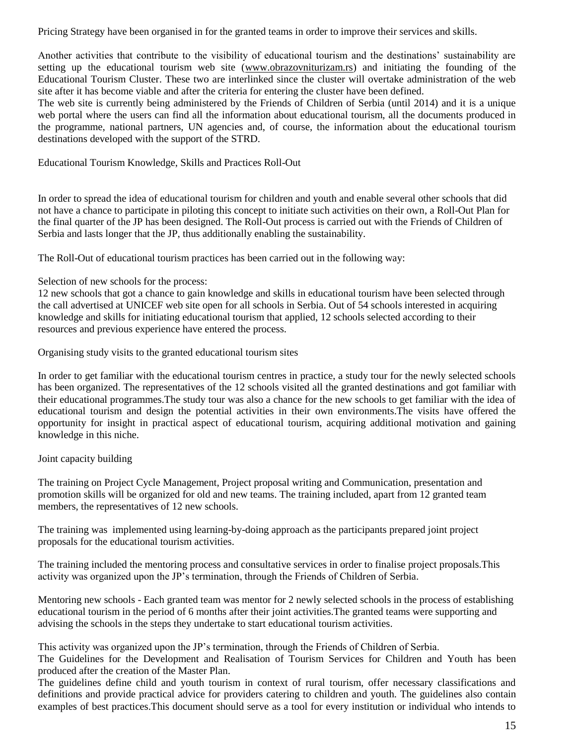Pricing Strategy have been organised in for the granted teams in order to improve their services and skills.

Another activities that contribute to the visibility of educational tourism and the destinations' sustainability are setting up the educational tourism web site [\(www.obrazovniturizam.rs\)](http://www.obrazovniturizam.rs/) and initiating the founding of the Educational Tourism Cluster. These two are interlinked since the cluster will overtake administration of the web site after it has become viable and after the criteria for entering the cluster have been defined.

The web site is currently being administered by the Friends of Children of Serbia (until 2014) and it is a unique web portal where the users can find all the information about educational tourism, all the documents produced in the programme, national partners, UN agencies and, of course, the information about the educational tourism destinations developed with the support of the STRD.

Educational Tourism Knowledge, Skills and Practices Roll-Out

In order to spread the idea of educational tourism for children and youth and enable several other schools that did not have a chance to participate in piloting this concept to initiate such activities on their own, a Roll-Out Plan for the final quarter of the JP has been designed. The Roll-Out process is carried out with the Friends of Children of Serbia and lasts longer that the JP, thus additionally enabling the sustainability.

The Roll-Out of educational tourism practices has been carried out in the following way:

Selection of new schools for the process:

12 new schools that got a chance to gain knowledge and skills in educational tourism have been selected through the call advertised at UNICEF web site open for all schools in Serbia. Out of 54 schools interested in acquiring knowledge and skills for initiating educational tourism that applied, 12 schools selected according to their resources and previous experience have entered the process.

Organising study visits to the granted educational tourism sites

In order to get familiar with the educational tourism centres in practice, a study tour for the newly selected schools has been organized. The representatives of the 12 schools visited all the granted destinations and got familiar with their educational programmes.The study tour was also a chance for the new schools to get familiar with the idea of educational tourism and design the potential activities in their own environments.The visits have offered the opportunity for insight in practical aspect of educational tourism, acquiring additional motivation and gaining knowledge in this niche.

# Joint capacity building

The training on Project Cycle Management, Project proposal writing and Communication, presentation and promotion skills will be organized for old and new teams. The training included, apart from 12 granted team members, the representatives of 12 new schools.

The training was implemented using learning-by-doing approach as the participants prepared joint project proposals for the educational tourism activities.

The training included the mentoring process and consultative services in order to finalise project proposals.This activity was organized upon the JP's termination, through the Friends of Children of Serbia.

Mentoring new schools - Each granted team was mentor for 2 newly selected schools in the process of establishing educational tourism in the period of 6 months after their joint activities.The granted teams were supporting and advising the schools in the steps they undertake to start educational tourism activities.

This activity was organized upon the JP's termination, through the Friends of Children of Serbia.

The Guidelines for the Development and Realisation of Tourism Services for Children and Youth has been produced after the creation of the Master Plan.

The guidelines define child and youth tourism in context of rural tourism, offer necessary classifications and definitions and provide practical advice for providers catering to children and youth. The guidelines also contain examples of best practices.This document should serve as a tool for every institution or individual who intends to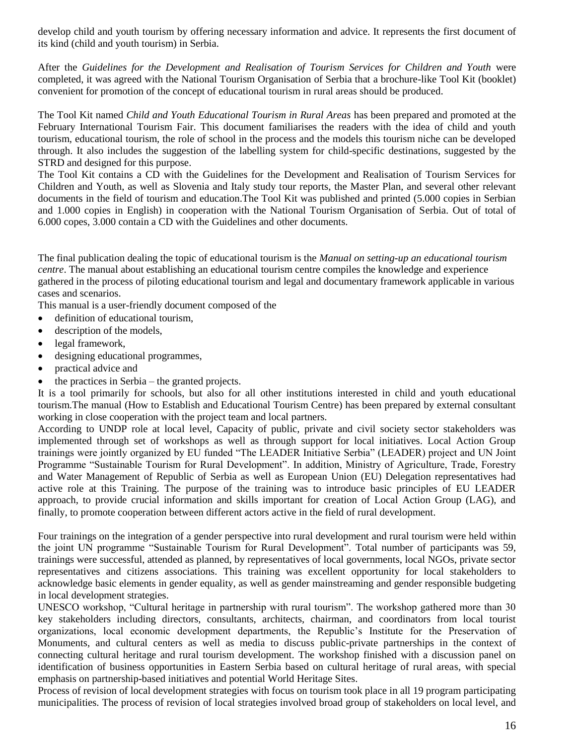develop child and youth tourism by offering necessary information and advice. It represents the first document of its kind (child and youth tourism) in Serbia.

After the *Guidelines for the Development and Realisation of Tourism Services for Children and Youth* were completed, it was agreed with the National Tourism Organisation of Serbia that a brochure-like Tool Kit (booklet) convenient for promotion of the concept of educational tourism in rural areas should be produced.

The Tool Kit named *Child and Youth Educational Tourism in Rural Areas* has been prepared and promoted at the February International Tourism Fair. This document familiarises the readers with the idea of child and youth tourism, educational tourism, the role of school in the process and the models this tourism niche can be developed through. It also includes the suggestion of the labelling system for child-specific destinations, suggested by the STRD and designed for this purpose.

The Tool Kit contains a CD with the Guidelines for the Development and Realisation of Tourism Services for Children and Youth, as well as Slovenia and Italy study tour reports, the Master Plan, and several other relevant documents in the field of tourism and education.The Tool Kit was published and printed (5.000 copies in Serbian and 1.000 copies in English) in cooperation with the National Tourism Organisation of Serbia. Out of total of 6.000 copes, 3.000 contain a CD with the Guidelines and other documents.

The final publication dealing the topic of educational tourism is the *Manual on setting-up an educational tourism centre*. The manual about establishing an educational tourism centre compiles the knowledge and experience gathered in the process of piloting educational tourism and legal and documentary framework applicable in various cases and scenarios.

This manual is a user-friendly document composed of the

- definition of educational tourism,
- description of the models,
- legal framework,
- designing educational programmes,
- practical advice and
- $\bullet$  the practices in Serbia the granted projects.

It is a tool primarily for schools, but also for all other institutions interested in child and youth educational tourism.The manual (How to Establish and Educational Tourism Centre) has been prepared by external consultant working in close cooperation with the project team and local partners.

According to UNDP role at local level, Capacity of public, private and civil society sector stakeholders was implemented through set of workshops as well as through support for local initiatives. Local Action Group trainings were jointly organized by EU funded "The LEADER Initiative Serbia" (LEADER) project and UN Joint Programme "Sustainable Tourism for Rural Development". In addition, Ministry of Agriculture, Trade, Forestry and Water Management of Republic of Serbia as well as European Union (EU) Delegation representatives had active role at this Training. The purpose of the training was to introduce basic principles of EU LEADER approach, to provide crucial information and skills important for creation of Local Action Group (LAG), and finally, to promote cooperation between different actors active in the field of rural development.

Four trainings on the integration of a gender perspective into rural development and rural tourism were held within the joint UN programme "Sustainable Tourism for Rural Development". Total number of participants was 59, trainings were successful, attended as planned, by representatives of local governments, local NGOs, private sector representatives and citizens associations. This training was excellent opportunity for local stakeholders to acknowledge basic elements in gender equality, as well as gender mainstreaming and gender responsible budgeting in local development strategies.

UNESCO workshop, "Cultural heritage in partnership with rural tourism". The workshop gathered more than 30 key stakeholders including directors, consultants, architects, chairman, and coordinators from local tourist organizations, local economic development departments, the Republic's Institute for the Preservation of Monuments, and cultural centers as well as media to discuss public-private partnerships in the context of connecting cultural heritage and rural tourism development. The workshop finished with a discussion panel on identification of business opportunities in Eastern Serbia based on cultural heritage of rural areas, with special emphasis on partnership-based initiatives and potential World Heritage Sites.

Process of revision of local development strategies with focus on tourism took place in all 19 program participating municipalities. The process of revision of local strategies involved broad group of stakeholders on local level, and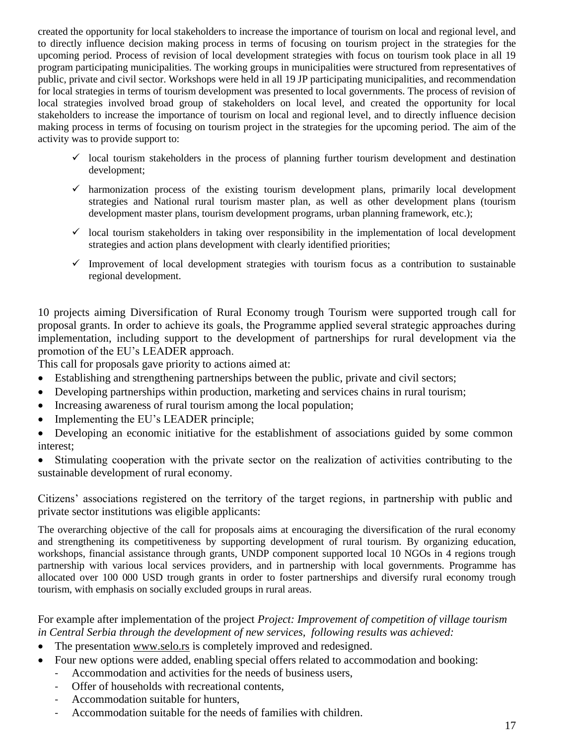created the opportunity for local stakeholders to increase the importance of tourism on local and regional level, and to directly influence decision making process in terms of focusing on tourism project in the strategies for the upcoming period. Process of revision of local development strategies with focus on tourism took place in all 19 program participating municipalities. The working groups in municipalities were structured from representatives of public, private and civil sector. Workshops were held in all 19 JP participating municipalities, and recommendation for local strategies in terms of tourism development was presented to local governments. The process of revision of local strategies involved broad group of stakeholders on local level, and created the opportunity for local stakeholders to increase the importance of tourism on local and regional level, and to directly influence decision making process in terms of focusing on tourism project in the strategies for the upcoming period. The aim of the activity was to provide support to:

- $\checkmark$  local tourism stakeholders in the process of planning further tourism development and destination development;
- $\checkmark$  harmonization process of the existing tourism development plans, primarily local development strategies and National rural tourism master plan, as well as other development plans (tourism development master plans, tourism development programs, urban planning framework, etc.);
- $\checkmark$  local tourism stakeholders in taking over responsibility in the implementation of local development strategies and action plans development with clearly identified priorities;
- $\checkmark$  Improvement of local development strategies with tourism focus as a contribution to sustainable regional development.

10 projects aiming Diversification of Rural Economy trough Tourism were supported trough call for proposal grants. In order to achieve its goals, the Progrаmme applied several strategic approaches during implementation, including support to the development of partnerships for rural development via the promotion of the EU's LEADER approach.

This call for proposals gave priority to actions aimed at:

- Establishing and strengthening partnerships between the public, private and civil sectors;
- Developing partnerships within production, marketing and services chains in rural tourism;
- Increasing awareness of rural tourism among the local population;
- Implementing the EU's LEADER principle;

 Developing an economic initiative for the establishment of associations guided by some common interest;

 Stimulating cooperation with the private sector on the reаlizаtion of activities contributing to the sustainable development of rural economy.

Citizens' associations registered on the territory of the target regions, in partnership with public and private sector institutions was eligible applicants:

The overarching objective of the call for proposals aims at encouraging the diversification of the rural economy and strengthening its competitiveness by supporting development of rural tourism. By organizing education, workshops, financial assistance through grants, UNDP component supported local 10 NGOs in 4 regions trough partnership with various local services providers, and in partnership with local governments. Programme has allocated over 100 000 USD trough grants in order to foster partnerships and diversify rural economy trough tourism, with emphasis on socially excluded groups in rural areas.

For example after implementation of the project *Project: Improvement of competition of village tourism in Central Serbia through the development of new services, following results was achieved:*

- The presentation [www.selo.rs](http://www.selo.rs/) is completely improved and redesigned.
- Four new options were added, enabling special offers related to accommodation and booking:
	- Accommodation and activities for the needs of business users,
	- Offer of households with recreational contents,
	- Accommodation suitable for hunters,
	- Accommodation suitable for the needs of families with children.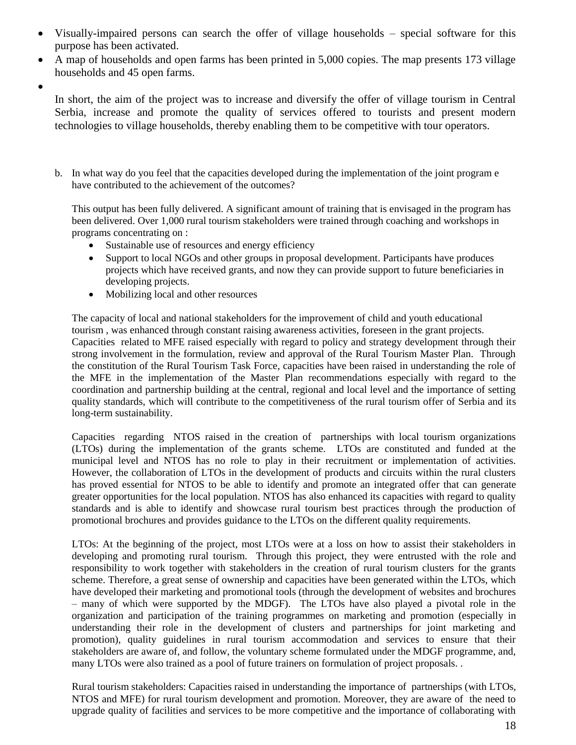- Visually-impaired persons can search the offer of village households special software for this purpose has been activated.
- A map of households and open farms has been printed in 5,000 copies. The map presents 173 village households and 45 open farms.
- $\bullet$

In short, the aim of the project was to increase and diversify the offer of village tourism in Central Serbia, increase and promote the quality of services offered to tourists and present modern technologies to village households, thereby enabling them to be competitive with tour operators.

b. In what way do you feel that the capacities developed during the implementation of the joint program e have contributed to the achievement of the outcomes?

This output has been fully delivered. A significant amount of training that is envisaged in the program has been delivered. Over 1,000 rural tourism stakeholders were trained through coaching and workshops in programs concentrating on :

- Sustainable use of resources and energy efficiency
- Support to local NGOs and other groups in proposal development. Participants have produces projects which have received grants, and now they can provide support to future beneficiaries in developing projects.
- Mobilizing local and other resources

The capacity of local and national stakeholders for the improvement of child and youth educational tourism , was enhanced through constant raising awareness activities, foreseen in the grant projects. Capacities related to MFE raised especially with regard to policy and strategy development through their strong involvement in the formulation, review and approval of the Rural Tourism Master Plan. Through the constitution of the Rural Tourism Task Force, capacities have been raised in understanding the role of the MFE in the implementation of the Master Plan recommendations especially with regard to the coordination and partnership building at the central, regional and local level and the importance of setting quality standards, which will contribute to the competitiveness of the rural tourism offer of Serbia and its long-term sustainability.

Capacities regarding NTOS raised in the creation of partnerships with local tourism organizations (LTOs) during the implementation of the grants scheme. LTOs are constituted and funded at the municipal level and NTOS has no role to play in their recruitment or implementation of activities. However, the collaboration of LTOs in the development of products and circuits within the rural clusters has proved essential for NTOS to be able to identify and promote an integrated offer that can generate greater opportunities for the local population. NTOS has also enhanced its capacities with regard to quality standards and is able to identify and showcase rural tourism best practices through the production of promotional brochures and provides guidance to the LTOs on the different quality requirements.

LTOs: At the beginning of the project, most LTOs were at a loss on how to assist their stakeholders in developing and promoting rural tourism. Through this project, they were entrusted with the role and responsibility to work together with stakeholders in the creation of rural tourism clusters for the grants scheme. Therefore, a great sense of ownership and capacities have been generated within the LTOs, which have developed their marketing and promotional tools (through the development of websites and brochures – many of which were supported by the MDGF). The LTOs have also played a pivotal role in the organization and participation of the training programmes on marketing and promotion (especially in understanding their role in the development of clusters and partnerships for joint marketing and promotion), quality guidelines in rural tourism accommodation and services to ensure that their stakeholders are aware of, and follow, the voluntary scheme formulated under the MDGF programme, and, many LTOs were also trained as a pool of future trainers on formulation of project proposals. .

Rural tourism stakeholders: Capacities raised in understanding the importance of partnerships (with LTOs, NTOS and MFE) for rural tourism development and promotion. Moreover, they are aware of the need to upgrade quality of facilities and services to be more competitive and the importance of collaborating with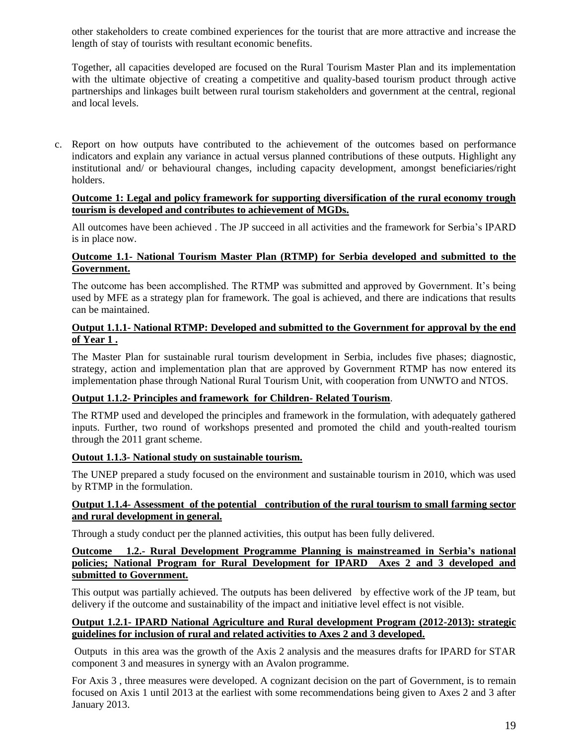other stakeholders to create combined experiences for the tourist that are more attractive and increase the length of stay of tourists with resultant economic benefits.

Together, all capacities developed are focused on the Rural Tourism Master Plan and its implementation with the ultimate objective of creating a connectitive and quality-based tourism product through active partnerships and linkages built between rural tourism stakeholders and government at the central, regional and local levels.

c. Report on how outputs have contributed to the achievement of the outcomes based on performance indicators and explain any variance in actual versus planned contributions of these outputs. Highlight any institutional and/ or behavioural changes, including capacity development, amongst beneficiaries/right holders.

### **Outcome 1: Legal and policy framework for supporting diversification of the rural economy trough tourism is developed and contributes to achievement of MGDs.**

All outcomes have been achieved . The JP succeed in all activities and the framework for Serbia's IPARD is in place now.

## **Outcome 1.1- National Tourism Master Plan (RTMP) for Serbia developed and submitted to the Government.**

The outcome has been accomplished. The RTMP was submitted and approved by Government. It's being used by MFE as a strategy plan for framework. The goal is achieved, and there are indications that results can be maintained.

## **Output 1.1.1- National RTMP: Developed and submitted to the Government for approval by the end of Year 1 .**

The Master Plan for sustainable rural tourism development in Serbia, includes five phases; diagnostic, strategy, action and implementation plan that are approved by Government RTMP has now entered its implementation phase through National Rural Tourism Unit, with cooperation from UNWTO and NTOS.

# **Output 1.1.2- Principles and framework for Children- Related Tourism**.

The RTMP used and developed the principles and framework in the formulation, with adequately gathered inputs. Further, two round of workshops presented and promoted the child and youth-realted tourism through the 2011 grant scheme.

#### **Outout 1.1.3- National study on sustainable tourism.**

The UNEP prepared a study focused on the environment and sustainable tourism in 2010, which was used by RTMP in the formulation.

#### **Output 1.1.4- Assessment of the potential contribution of the rural tourism to small farming sector and rural development in general.**

Through a study conduct per the planned activities, this output has been fully delivered.

### **Outcome 1.2.- Rural Development Programme Planning is mainstreamed in Serbia's national policies; National Program for Rural Development for IPARD Axes 2 and 3 developed and submitted to Government.**

This output was partially achieved. The outputs has been delivered by effective work of the JP team, but delivery if the outcome and sustainability of the impact and initiative level effect is not visible.

#### **Output 1.2.1- IPARD National Agriculture and Rural development Program (2012-2013): strategic guidelines for inclusion of rural and related activities to Axes 2 and 3 developed.**

Outputs in this area was the growth of the Axis 2 analysis and the measures drafts for IPARD for STAR component 3 and measures in synergy with an Avalon programme.

For Axis 3 , three measures were developed. A cognizant decision on the part of Government, is to remain focused on Axis 1 until 2013 at the earliest with some recommendations being given to Axes 2 and 3 after January 2013.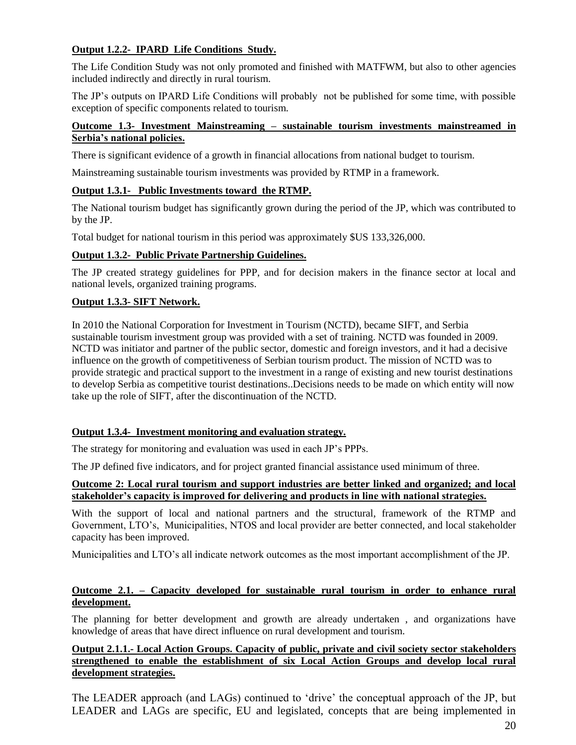# **Output 1.2.2- IPARD Life Conditions Study.**

The Life Condition Study was not only promoted and finished with MATFWM, but also to other agencies included indirectly and directly in rural tourism.

The JP's outputs on IPARD Life Conditions will probably not be published for some time, with possible exception of specific components related to tourism.

# **Outcome 1.3- Investment Mainstreaming – sustainable tourism investments mainstreamed in Serbia's national policies.**

There is significant evidence of a growth in financial allocations from national budget to tourism.

Mainstreaming sustainable tourism investments was provided by RTMP in a framework.

## **Output 1.3.1- Public Investments toward the RTMP.**

The National tourism budget has significantly grown during the period of the JP, which was contributed to by the JP.

Total budget for national tourism in this period was approximately \$US 133,326,000.

## **Output 1.3.2- Public Private Partnership Guidelines.**

The JP created strategy guidelines for PPP, and for decision makers in the finance sector at local and national levels, organized training programs.

## **Output 1.3.3- SIFT Network.**

In 2010 the National Corporation for Investment in Tourism (NCTD), became SIFT, and Serbia sustainable tourism investment group was provided with a set of training. NCTD was founded in 2009. NCTD was initiator and partner of the public sector, domestic and foreign investors, and it had a decisive influence on the growth of competitiveness of Serbian tourism product. The mission of NCTD was to provide strategic and practical support to the investment in a range of existing and new tourist destinations to develop Serbia as competitive tourist destinations..Decisions needs to be made on which entity will now take up the role of SIFT, after the discontinuation of the NCTD.

# **Output 1.3.4- Investment monitoring and evaluation strategy.**

The strategy for monitoring and evaluation was used in each JP's PPPs.

The JP defined five indicators, and for project granted financial assistance used minimum of three.

#### **Outcome 2: Local rural tourism and support industries are better linked and organized; and local stakeholder's capacity is improved for delivering and products in line with national strategies.**

With the support of local and national partners and the structural, framework of the RTMP and Government, LTO's, Municipalities, NTOS and local provider are better connected, and local stakeholder capacity has been improved.

Municipalities and LTO's all indicate network outcomes as the most important accomplishment of the JP.

## **Outcome 2.1. – Capacity developed for sustainable rural tourism in order to enhance rural development.**

The planning for better development and growth are already undertaken , and organizations have knowledge of areas that have direct influence on rural development and tourism.

# **Output 2.1.1.- Local Action Groups. Capacity of public, private and civil society sector stakeholders strengthened to enable the establishment of six Local Action Groups and develop local rural development strategies.**

The LEADER approach (and LAGs) continued to 'drive' the conceptual approach of the JP, but LEADER and LAGs are specific, EU and legislated, concepts that are being implemented in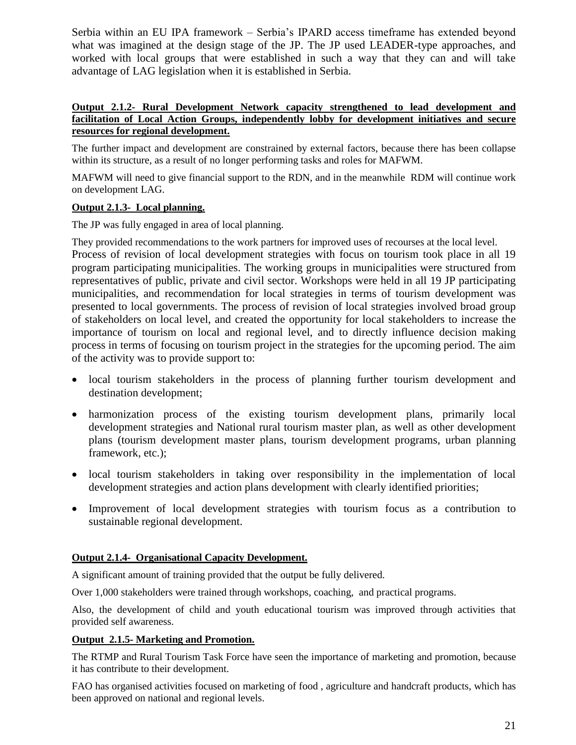Serbia within an EU IPA framework – Serbia's IPARD access timeframe has extended beyond what was imagined at the design stage of the JP. The JP used LEADER-type approaches, and worked with local groups that were established in such a way that they can and will take advantage of LAG legislation when it is established in Serbia.

### **Output 2.1.2- Rural Development Network capacity strengthened to lead development and facilitation of Local Action Groups, independently lobby for development initiatives and secure resources for regional development.**

The further impact and development are constrained by external factors, because there has been collapse within its structure, as a result of no longer performing tasks and roles for MAFWM.

MAFWM will need to give financial support to the RDN, and in the meanwhile RDM will continue work on development LAG.

# **Output 2.1.3- Local planning.**

The JP was fully engaged in area of local planning.

They provided recommendations to the work partners for improved uses of recourses at the local level. Process of revision of local development strategies with focus on tourism took place in all 19 program participating municipalities. The working groups in municipalities were structured from representatives of public, private and civil sector. Workshops were held in all 19 JP participating municipalities, and recommendation for local strategies in terms of tourism development was presented to local governments. The process of revision of local strategies involved broad group of stakeholders on local level, and created the opportunity for local stakeholders to increase the importance of tourism on local and regional level, and to directly influence decision making process in terms of focusing on tourism project in the strategies for the upcoming period. The aim of the activity was to provide support to:

- local tourism stakeholders in the process of planning further tourism development and destination development;
- harmonization process of the existing tourism development plans, primarily local development strategies and National rural tourism master plan, as well as other development plans (tourism development master plans, tourism development programs, urban planning framework, etc.);
- local tourism stakeholders in taking over responsibility in the implementation of local development strategies and action plans development with clearly identified priorities;
- Improvement of local development strategies with tourism focus as a contribution to sustainable regional development.

# **Output 2.1.4- Organisational Capacity Development.**

A significant amount of training provided that the output be fully delivered.

Over 1,000 stakeholders were trained through workshops, coaching, and practical programs.

Also, the development of child and youth educational tourism was improved through activities that provided self awareness.

# **Output 2.1.5- Marketing and Promotion.**

The RTMP and Rural Tourism Task Force have seen the importance of marketing and promotion, because it has contribute to their development.

FAO has organised activities focused on marketing of food , agriculture and handcraft products, which has been approved on national and regional levels.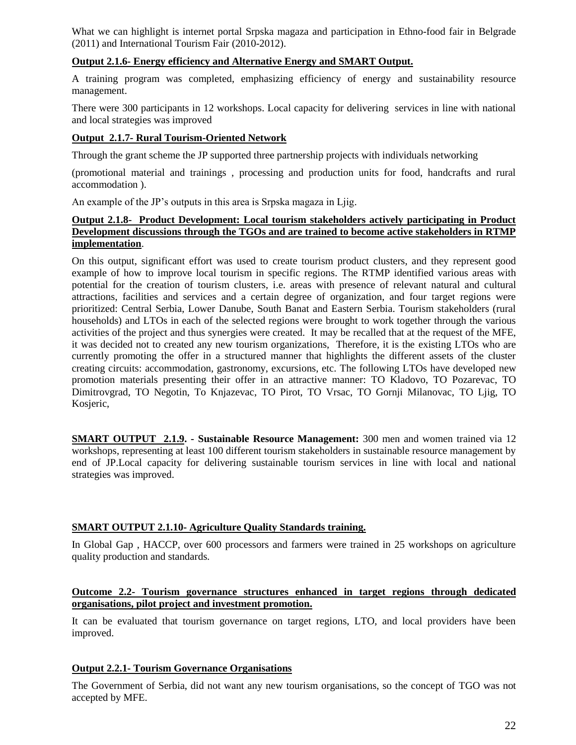What we can highlight is internet portal Srpska magaza and participation in Ethno-food fair in Belgrade (2011) and International Tourism Fair (2010-2012).

## **Output 2.1.6- Energy efficiency and Alternative Energy and SMART Output.**

A training program was completed, emphasizing efficiency of energy and sustainability resource management.

There were 300 participants in 12 workshops. Local capacity for delivering services in line with national and local strategies was improved

### **Output 2.1.7- Rural Tourism-Oriented Network**

Through the grant scheme the JP supported three partnership projects with individuals networking

(promotional material and trainings , processing and production units for food, handcrafts and rural accommodation ).

An example of the JP's outputs in this area is Srpska magaza in Ljig.

#### **Output 2.1.8- Product Development: Local tourism stakeholders actively participating in Product Development discussions through the TGOs and are trained to become active stakeholders in RTMP implementation**.

On this output, significant effort was used to create tourism product clusters, and they represent good example of how to improve local tourism in specific regions. The RTMP identified various areas with potential for the creation of tourism clusters, i.e. areas with presence of relevant natural and cultural attractions, facilities and services and a certain degree of organization, and four target regions were prioritized: Central Serbia, Lower Danube, South Banat and Eastern Serbia. Tourism stakeholders (rural households) and LTOs in each of the selected regions were brought to work together through the various activities of the project and thus synergies were created. It may be recalled that at the request of the MFE, it was decided not to created any new tourism organizations, Therefore, it is the existing LTOs who are currently promoting the offer in a structured manner that highlights the different assets of the cluster creating circuits: accommodation, gastronomy, excursions, etc. The following LTOs have developed new promotion materials presenting their offer in an attractive manner: TO Kladovo, TO Pozarevac, TO Dimitrovgrad, TO Negotin, To Knjazevac, TO Pirot, TO Vrsac, TO Gornji Milanovac, TO Ljig, TO Kosjeric,

**SMART OUTPUT 2.1.9. - Sustainable Resource Management:** 300 men and women trained via 12 workshops, representing at least 100 different tourism stakeholders in sustainable resource management by end of JP.Local capacity for delivering sustainable tourism services in line with local and national strategies was improved.

### **SMART OUTPUT 2.1.10- Agriculture Quality Standards training.**

In Global Gap , HACCP, over 600 processors and farmers were trained in 25 workshops on agriculture quality production and standards.

#### **Outcome 2.2- Tourism governance structures enhanced in target regions through dedicated organisations, pilot project and investment promotion.**

It can be evaluated that tourism governance on target regions, LTO, and local providers have been improved.

#### **Output 2.2.1- Tourism Governance Organisations**

The Government of Serbia, did not want any new tourism organisations, so the concept of TGO was not accepted by MFE.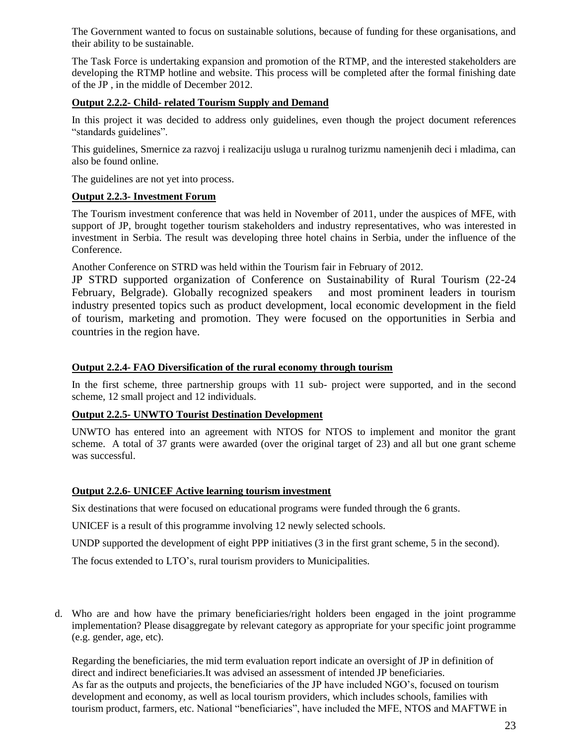The Government wanted to focus on sustainable solutions, because of funding for these organisations, and their ability to be sustainable.

The Task Force is undertaking expansion and promotion of the RTMP, and the interested stakeholders are developing the RTMP hotline and website. This process will be completed after the formal finishing date of the JP , in the middle of December 2012.

### **Output 2.2.2- Child- related Tourism Supply and Demand**

In this project it was decided to address only guidelines, even though the project document references "standards guidelines".

This guidelines, Smernice za razvoj i realizaciju usluga u ruralnog turizmu namenjenih deci i mladima, can also be found online.

The guidelines are not yet into process.

## **Output 2.2.3- Investment Forum**

The Tourism investment conference that was held in November of 2011, under the auspices of MFE, with support of JP, brought together tourism stakeholders and industry representatives, who was interested in investment in Serbia. The result was developing three hotel chains in Serbia, under the influence of the Conference.

Another Conference on STRD was held within the Tourism fair in February of 2012.

JP STRD supported organization of Conference on Sustainability of Rural Tourism (22-24 February, Belgrade). Globally recognized speakers and most prominent leaders in tourism industry presented topics such as product development, local economic development in the field of tourism, marketing and promotion. They were focused on the opportunities in Serbia and countries in the region have.

## **Output 2.2.4- FAO Diversification of the rural economy through tourism**

In the first scheme, three partnership groups with 11 sub- project were supported, and in the second scheme, 12 small project and 12 individuals.

# **Output 2.2.5- UNWTO Tourist Destination Development**

UNWTO has entered into an agreement with NTOS for NTOS to implement and monitor the grant scheme. A total of 37 grants were awarded (over the original target of 23) and all but one grant scheme was successful.

# **Output 2.2.6- UNICEF Active learning tourism investment**

Six destinations that were focused on educational programs were funded through the 6 grants.

UNICEF is a result of this programme involving 12 newly selected schools.

UNDP supported the development of eight PPP initiatives (3 in the first grant scheme, 5 in the second).

The focus extended to LTO's, rural tourism providers to Municipalities.

d. Who are and how have the primary beneficiaries/right holders been engaged in the joint programme implementation? Please disaggregate by relevant category as appropriate for your specific joint programme (e.g. gender, age, etc).

Regarding the beneficiaries, the mid term evaluation report indicate an oversight of JP in definition of direct and indirect beneficiaries.It was advised an assessment of intended JP beneficiaries. As far as the outputs and projects, the beneficiaries of the JP have included NGO's, focused on tourism development and economy, as well as local tourism providers, which includes schools, families with tourism product, farmers, etc. National "beneficiaries", have included the MFE, NTOS and MAFTWE in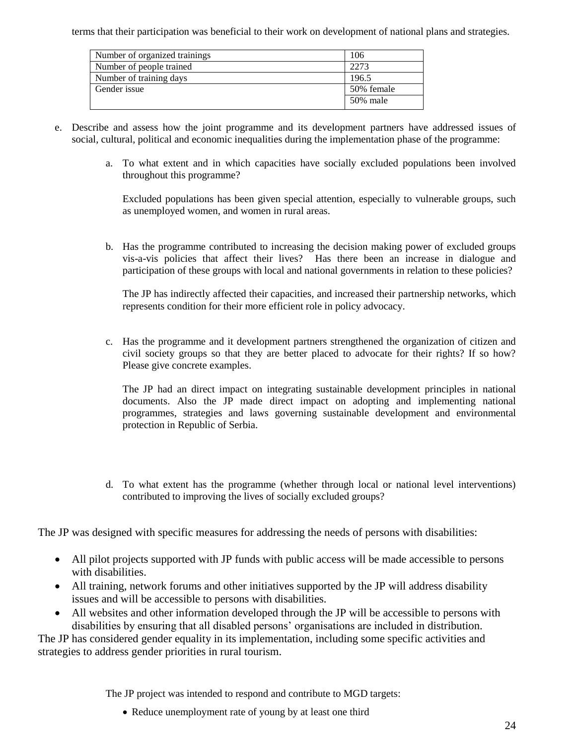terms that their participation was beneficial to their work on development of national plans and strategies.

| Number of organized trainings | 106        |
|-------------------------------|------------|
| Number of people trained      | 2273       |
| Number of training days       | 196.5      |
| Gender issue                  | 50% female |
|                               | 50% male   |

- e. Describe and assess how the joint programme and its development partners have addressed issues of social, cultural, political and economic inequalities during the implementation phase of the programme:
	- a. To what extent and in which capacities have socially excluded populations been involved throughout this programme?

Excluded populations has been given special attention, especially to vulnerable groups, such as unemployed women, and women in rural areas.

b. Has the programme contributed to increasing the decision making power of excluded groups vis-a-vis policies that affect their lives? Has there been an increase in dialogue and participation of these groups with local and national governments in relation to these policies?

The JP has indirectly affected their capacities, and increased their partnership networks, which represents condition for their more efficient role in policy advocacy.

c. Has the programme and it development partners strengthened the organization of citizen and civil society groups so that they are better placed to advocate for their rights? If so how? Please give concrete examples.

The JP had an direct impact on integrating sustainable development principles in national documents. Also the JP made direct impact on adopting and implementing national programmes, strategies and laws governing sustainable development and environmental protection in Republic of Serbia.

d. To what extent has the programme (whether through local or national level interventions) contributed to improving the lives of socially excluded groups?

The JP was designed with specific measures for addressing the needs of persons with disabilities:

- All pilot projects supported with JP funds with public access will be made accessible to persons with disabilities.
- All training, network forums and other initiatives supported by the JP will address disability issues and will be accessible to persons with disabilities.
- All websites and other information developed through the JP will be accessible to persons with disabilities by ensuring that all disabled persons' organisations are included in distribution.

The JP has considered gender equality in its implementation, including some specific activities and strategies to address gender priorities in rural tourism.

The JP project was intended to respond and contribute to MGD targets:

• Reduce unemployment rate of young by at least one third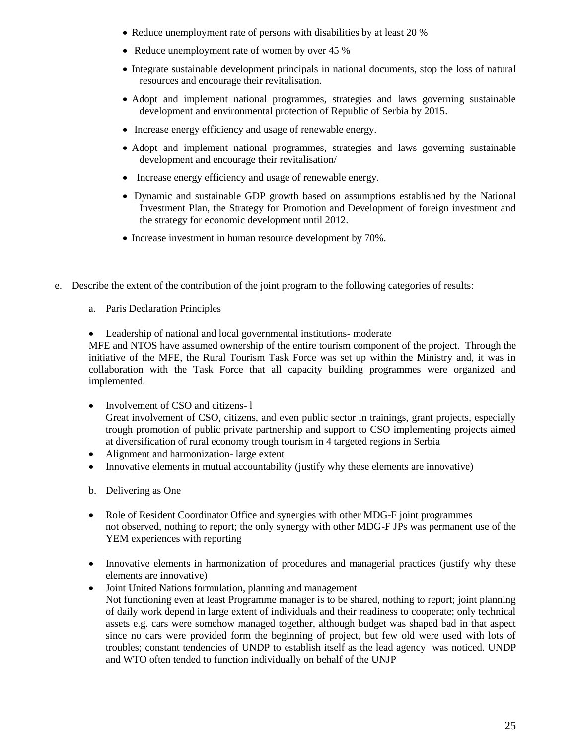- Reduce unemployment rate of persons with disabilities by at least 20 %
- Reduce unemployment rate of women by over 45 %
- Integrate sustainable development principals in national documents, stop the loss of natural resources and encourage their revitalisation.
- Adopt and implement national programmes, strategies and laws governing sustainable development and environmental protection of Republic of Serbia by 2015.
- Increase energy efficiency and usage of renewable energy.
- Adopt and implement national programmes, strategies and laws governing sustainable development and encourage their revitalisation/
- Increase energy efficiency and usage of renewable energy.
- Dynamic and sustainable GDP growth based on assumptions established by the National Investment Plan, the Strategy for Promotion and Development of foreign investment and the strategy for economic development until 2012.
- Increase investment in human resource development by 70%.
- e. Describe the extent of the contribution of the joint program to the following categories of results:
	- a. Paris Declaration Principles
	- Leadership of national and local governmental institutions- moderate

MFE and NTOS have assumed ownership of the entire tourism component of the project. Through the initiative of the MFE, the Rural Tourism Task Force was set up within the Ministry and, it was in collaboration with the Task Force that all capacity building programmes were organized and implemented.

- Involvement of CSO and citizens-1 Great involvement of CSO, citizens, and even public sector in trainings, grant projects, especially trough promotion of public private partnership and support to CSO implementing projects aimed at diversification of rural economy trough tourism in 4 targeted regions in Serbia
- Alignment and harmonization- large extent
- Innovative elements in mutual accountability (justify why these elements are innovative)
- b. Delivering as One
- Role of Resident Coordinator Office and synergies with other MDG-F joint programmes not observed, nothing to report; the only synergy with other MDG-F JPs was permanent use of the YEM experiences with reporting
- Innovative elements in harmonization of procedures and managerial practices (justify why these elements are innovative)
- Joint United Nations formulation, planning and management Not functioning even at least Programme manager is to be shared, nothing to report; joint planning of daily work depend in large extent of individuals and their readiness to cooperate; only technical assets e.g. cars were somehow managed together, although budget was shaped bad in that aspect since no cars were provided form the beginning of project, but few old were used with lots of troubles; constant tendencies of UNDP to establish itself as the lead agency was noticed. UNDP and WTO often tended to function individually on behalf of the UNJP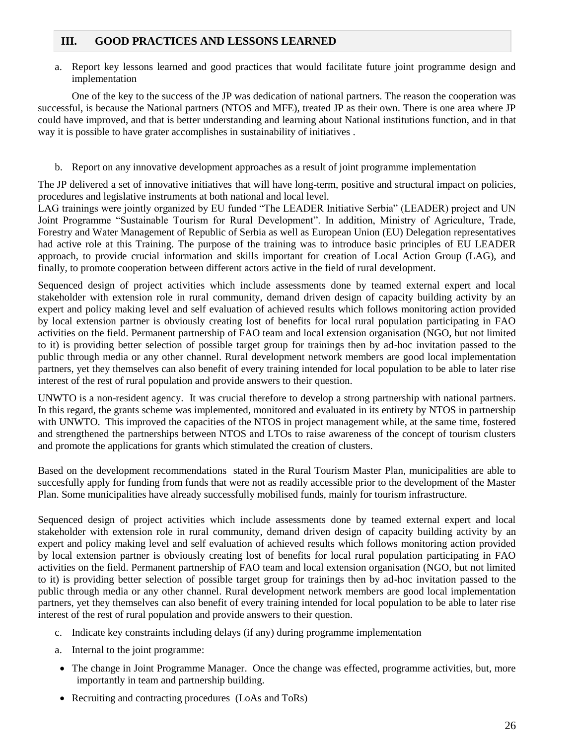# **III. GOOD PRACTICES AND LESSONS LEARNED**

a. Report key lessons learned and good practices that would facilitate future joint programme design and implementation

One of the key to the success of the JP was dedication of national partners. The reason the cooperation was successful, is because the National partners (NTOS and MFE), treated JP as their own. There is one area where JP could have improved, and that is better understanding and learning about National institutions function, and in that way it is possible to have grater accomplishes in sustainability of initiatives .

b. Report on any innovative development approaches as a result of joint programme implementation

The JP delivered a set of innovative initiatives that will have long-term, positive and structural impact on policies, procedures and legislative instruments at both national and local level.

LAG trainings were jointly organized by EU funded "The LEADER Initiative Serbia" (LEADER) project and UN Joint Programme "Sustainable Tourism for Rural Development". In addition, Ministry of Agriculture, Trade, Forestry and Water Management of Republic of Serbia as well as European Union (EU) Delegation representatives had active role at this Training. The purpose of the training was to introduce basic principles of EU LEADER approach, to provide crucial information and skills important for creation of Local Action Group (LAG), and finally, to promote cooperation between different actors active in the field of rural development.

Sequenced design of project activities which include assessments done by teamed external expert and local stakeholder with extension role in rural community, demand driven design of capacity building activity by an expert and policy making level and self evaluation of achieved results which follows monitoring action provided by local extension partner is obviously creating lost of benefits for local rural population participating in FAO activities on the field. Permanent partnership of FAO team and local extension organisation (NGO, but not limited to it) is providing better selection of possible target group for trainings then by ad-hoc invitation passed to the public through media or any other channel. Rural development network members are good local implementation partners, yet they themselves can also benefit of every training intended for local population to be able to later rise interest of the rest of rural population and provide answers to their question.

UNWTO is a non-resident agency. It was crucial therefore to develop a strong partnership with national partners. In this regard, the grants scheme was implemented, monitored and evaluated in its entirety by NTOS in partnership with UNWTO. This improved the capacities of the NTOS in project management while, at the same time, fostered and strengthened the partnerships between NTOS and LTOs to raise awareness of the concept of tourism clusters and promote the applications for grants which stimulated the creation of clusters.

Based on the development recommendations stated in the Rural Tourism Master Plan, municipalities are able to succesfully apply for funding from funds that were not as readily accessible prior to the development of the Master Plan. Some municipalities have already successfully mobilised funds, mainly for tourism infrastructure.

Sequenced design of project activities which include assessments done by teamed external expert and local stakeholder with extension role in rural community, demand driven design of capacity building activity by an expert and policy making level and self evaluation of achieved results which follows monitoring action provided by local extension partner is obviously creating lost of benefits for local rural population participating in FAO activities on the field. Permanent partnership of FAO team and local extension organisation (NGO, but not limited to it) is providing better selection of possible target group for trainings then by ad-hoc invitation passed to the public through media or any other channel. Rural development network members are good local implementation partners, yet they themselves can also benefit of every training intended for local population to be able to later rise interest of the rest of rural population and provide answers to their question.

- c. Indicate key constraints including delays (if any) during programme implementation
- a. Internal to the joint programme:
- The change in Joint Programme Manager. Once the change was effected, programme activities, but, more importantly in team and partnership building.
- Recruiting and contracting procedures (LoAs and ToRs)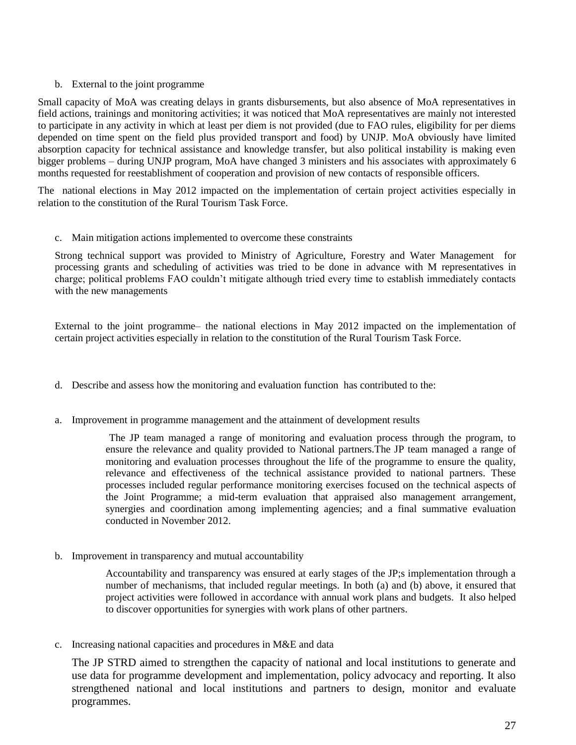### b. External to the joint programme

Small capacity of MoA was creating delays in grants disbursements, but also absence of MoA representatives in field actions, trainings and monitoring activities; it was noticed that MoA representatives are mainly not interested to participate in any activity in which at least per diem is not provided (due to FAO rules, eligibility for per diems depended on time spent on the field plus provided transport and food) by UNJP. MoA obviously have limited absorption capacity for technical assistance and knowledge transfer, but also political instability is making even bigger problems – during UNJP program, MoA have changed 3 ministers and his associates with approximately 6 months requested for reestablishment of cooperation and provision of new contacts of responsible officers.

The national elections in May 2012 impacted on the implementation of certain project activities especially in relation to the constitution of the Rural Tourism Task Force.

c. Main mitigation actions implemented to overcome these constraints

Strong technical support was provided to Ministry of Agriculture, Forestry and Water Management for processing grants and scheduling of activities was tried to be done in advance with M representatives in charge; political problems FAO couldn't mitigate although tried every time to establish immediately contacts with the new managements

External to the joint programme– the national elections in May 2012 impacted on the implementation of certain project activities especially in relation to the constitution of the Rural Tourism Task Force.

- d. Describe and assess how the monitoring and evaluation function has contributed to the:
- a. Improvement in programme management and the attainment of development results

The JP team managed a range of monitoring and evaluation process through the program, to ensure the relevance and quality provided to National partners.The JP team managed a range of monitoring and evaluation processes throughout the life of the programme to ensure the quality, relevance and effectiveness of the technical assistance provided to national partners. These processes included regular performance monitoring exercises focused on the technical aspects of the Joint Programme; a mid-term evaluation that appraised also management arrangement, synergies and coordination among implementing agencies; and a final summative evaluation conducted in November 2012.

b. Improvement in transparency and mutual accountability

Accountability and transparency was ensured at early stages of the JP;s implementation through a number of mechanisms, that included regular meetings. In both (a) and (b) above, it ensured that project activities were followed in accordance with annual work plans and budgets. It also helped to discover opportunities for synergies with work plans of other partners.

c. Increasing national capacities and procedures in M&E and data

The JP STRD aimed to strengthen the capacity of national and local institutions to generate and use data for programme development and implementation, policy advocacy and reporting. It also strengthened national and local institutions and partners to design, monitor and evaluate programmes.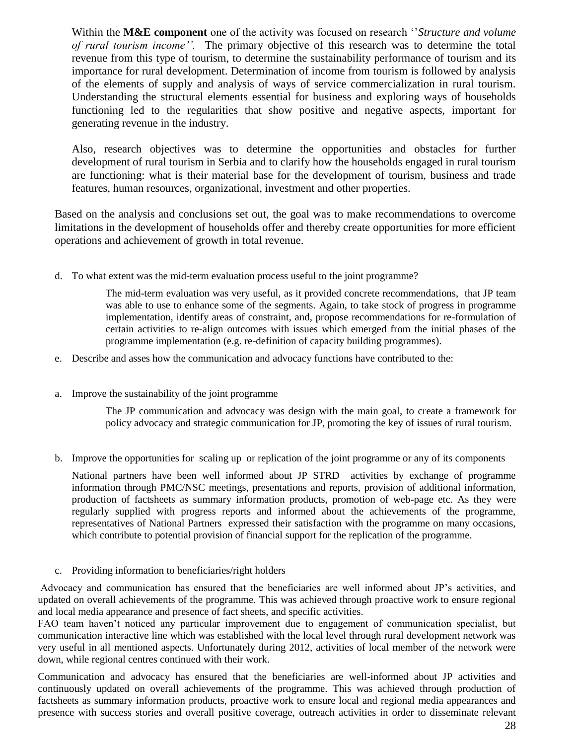Within the **M&E component** one of the activity was focused on research ''*Structure and volume of rural tourism income''.* The primary objective of this research was to determine the total revenue from this type of tourism, to determine the sustainability performance of tourism and its importance for rural development. Determination of income from tourism is followed by analysis of the elements of supply and analysis of ways of service commercialization in rural tourism. Understanding the structural elements essential for business and exploring ways of households functioning led to the regularities that show positive and negative aspects, important for generating revenue in the industry.

Also, research objectives was to determine the opportunities and obstacles for further development of rural tourism in Serbia and to clarify how the households engaged in rural tourism are functioning: what is their material base for the development of tourism, business and trade features, human resources, organizational, investment and other properties.

Based on the analysis and conclusions set out, the goal was to make recommendations to overcome limitations in the development of households offer and thereby create opportunities for more efficient operations and achievement of growth in total revenue.

d. To what extent was the mid-term evaluation process useful to the joint programme?

The mid-term evaluation was very useful, as it provided concrete recommendations, that JP team was able to use to enhance some of the segments. Again, to take stock of progress in programme implementation, identify areas of constraint, and, propose recommendations for re-formulation of certain activities to re-align outcomes with issues which emerged from the initial phases of the programme implementation (e.g. re-definition of capacity building programmes).

- e. Describe and asses how the communication and advocacy functions have contributed to the:
- a. Improve the sustainability of the joint programme

The JP communication and advocacy was design with the main goal, to create a framework for policy advocacy and strategic communication for JP, promoting the key of issues of rural tourism.

b. Improve the opportunities for scaling up or replication of the joint programme or any of its components

National partners have been well informed about JP STRD activities by exchange of programme information through PMC/NSC meetings, presentations and reports, provision of additional information, production of factsheets as summary information products, promotion of web-page etc. As they were regularly supplied with progress reports and informed about the achievements of the programme, representatives of National Partners expressed their satisfaction with the programme on many occasions, which contribute to potential provision of financial support for the replication of the programme.

c. Providing information to beneficiaries/right holders

Advocacy and communication has ensured that the beneficiaries are well informed about JP's activities, and updated on overall achievements of the programme. This was achieved through proactive work to ensure regional and local media appearance and presence of fact sheets, and specific activities.

FAO team haven't noticed any particular improvement due to engagement of communication specialist, but communication interactive line which was established with the local level through rural development network was very useful in all mentioned aspects. Unfortunately during 2012, activities of local member of the network were down, while regional centres continued with their work.

Communication and advocacy has ensured that the beneficiaries are well-informed about JP activities and continuously updated on overall achievements of the programme. This was achieved through production of factsheets as summary information products, proactive work to ensure local and regional media appearances and presence with success stories and overall positive coverage, outreach activities in order to disseminate relevant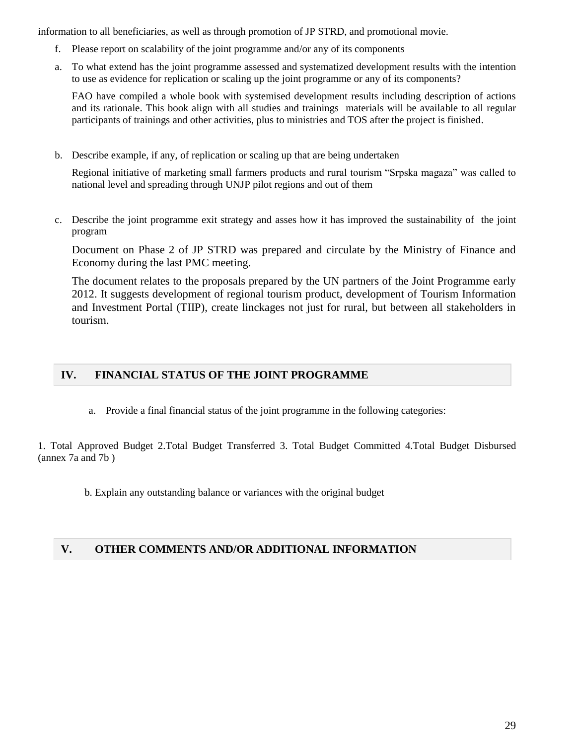information to all beneficiaries, as well as through promotion of JP STRD, and promotional movie.

- f. Please report on scalability of the joint programme and/or any of its components
- a. To what extend has the joint programme assessed and systematized development results with the intention to use as evidence for replication or scaling up the joint programme or any of its components?

FAO have compiled a whole book with systemised development results including description of actions and its rationale. This book align with all studies and trainings materials will be available to all regular participants of trainings and other activities, plus to ministries and TOS after the project is finished.

b. Describe example, if any, of replication or scaling up that are being undertaken

Regional initiative of marketing small farmers products and rural tourism "Srpska magaza" was called to national level and spreading through UNJP pilot regions and out of them

c. Describe the joint programme exit strategy and asses how it has improved the sustainability of the joint program

Document on Phase 2 of JP STRD was prepared and circulate by the Ministry of Finance and Economy during the last PMC meeting.

The document relates to the proposals prepared by the UN partners of the Joint Programme early 2012. It suggests development of regional tourism product, development of Tourism Information and Investment Portal (TIIP), create linckages not just for rural, but between all stakeholders in tourism.

# **IV. FINANCIAL STATUS OF THE JOINT PROGRAMME**

a. Provide a final financial status of the joint programme in the following categories:

1. Total Approved Budget 2.Total Budget Transferred 3. Total Budget Committed 4.Total Budget Disbursed (annex 7a and 7b )

b. Explain any outstanding balance or variances with the original budget

# **V. OTHER COMMENTS AND/OR ADDITIONAL INFORMATION**